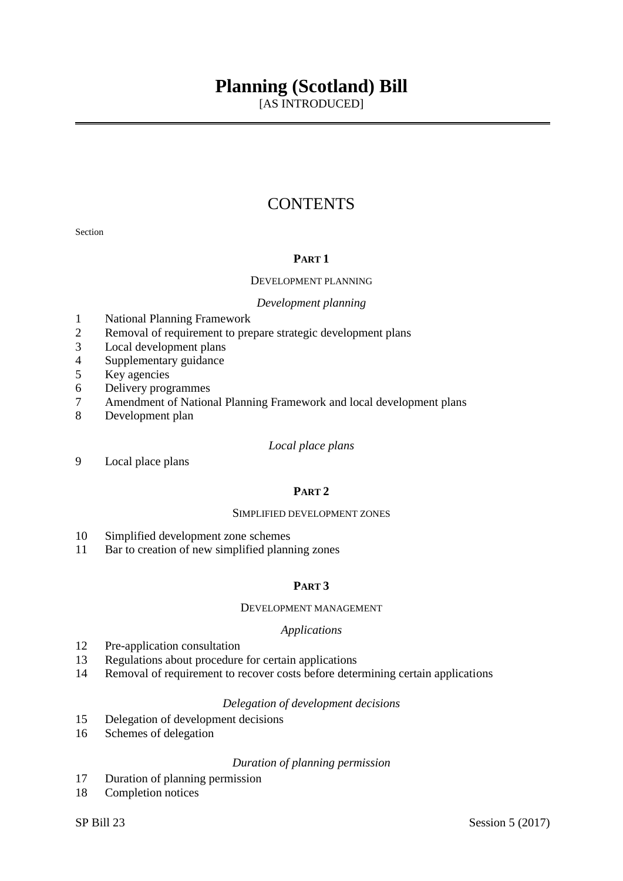# **Planning (Scotland) Bill**

[AS INTRODUCED]

# **CONTENTS**

Section

# **PART 1**

#### DEVELOPMENT PLANNING

#### *Development planning*

- 1 National Planning Framework
- 2 Removal of requirement to prepare strategic development plans
- 3 Local development plans
- 4 Supplementary guidance
- 5 Key agencies
- 6 Delivery programmes
- 7 Amendment of National Planning Framework and local development plans
- 8 Development plan

#### *Local place plans*

9 Local place plans

# **PART 2**

#### SIMPLIFIED DEVELOPMENT ZONES

- 10 Simplified development zone schemes
- 11 Bar to creation of new simplified planning zones

# **PART 3**

#### DEVELOPMENT MANAGEMENT

#### *Applications*

- 12 Pre-application consultation
- 13 Regulations about procedure for certain applications
- 14 Removal of requirement to recover costs before determining certain applications

# *Delegation of development decisions*

- 15 Delegation of development decisions
- 16 Schemes of delegation

# *Duration of planning permission*

- 17 Duration of planning permission
- 18 Completion notices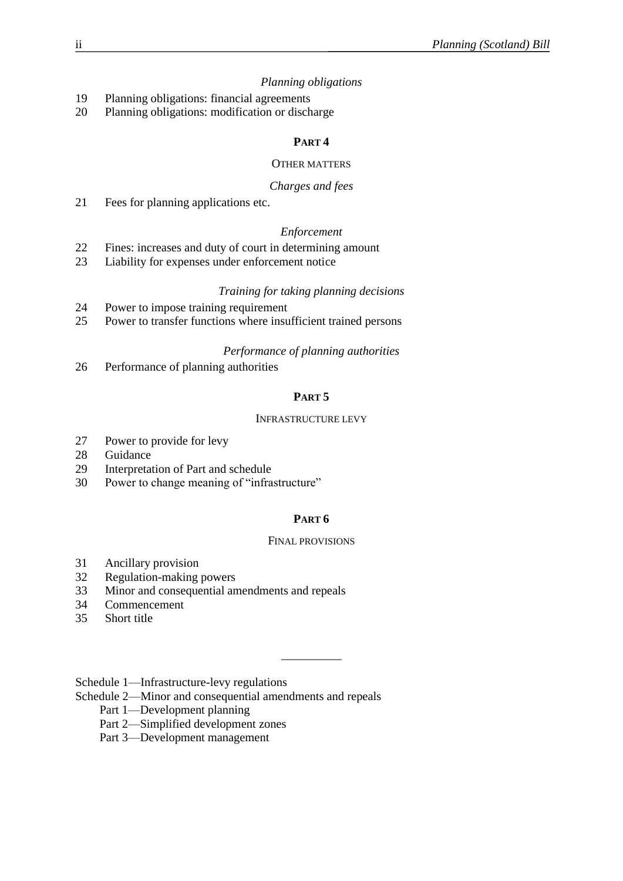# *Planning obligations*

- 19 Planning obligations: financial agreements
- 20 Planning obligations: modification or discharge

# **PART 4**

# OTHER MATTERS

# *Charges and fees*

21 Fees for planning applications etc.

# *Enforcement*

- 22 Fines: increases and duty of court in determining amount
- 23 Liability for expenses under enforcement notice

# *Training for taking planning decisions*

- 24 Power to impose training requirement
- 25 Power to transfer functions where insufficient trained persons

# *Performance of planning authorities*

26 Performance of planning authorities

# **PART 5**

# INFRASTRUCTURE LEVY

- 27 Power to provide for levy
- 28 Guidance
- 29 Interpretation of Part and schedule
- 30 Power to change meaning of "infrastructure"

# **PART 6**

# FINAL PROVISIONS

\_\_\_\_\_\_\_\_\_\_

- 31 Ancillary provision
- 32 Regulation-making powers
- 33 Minor and consequential amendments and repeals
- 34 Commencement
- 35 Short title

Schedule 1—Infrastructure-levy regulations

- Schedule 2—Minor and consequential amendments and repeals
	- Part 1—Development planning
	- Part 2—Simplified development zones
	- Part 3—Development management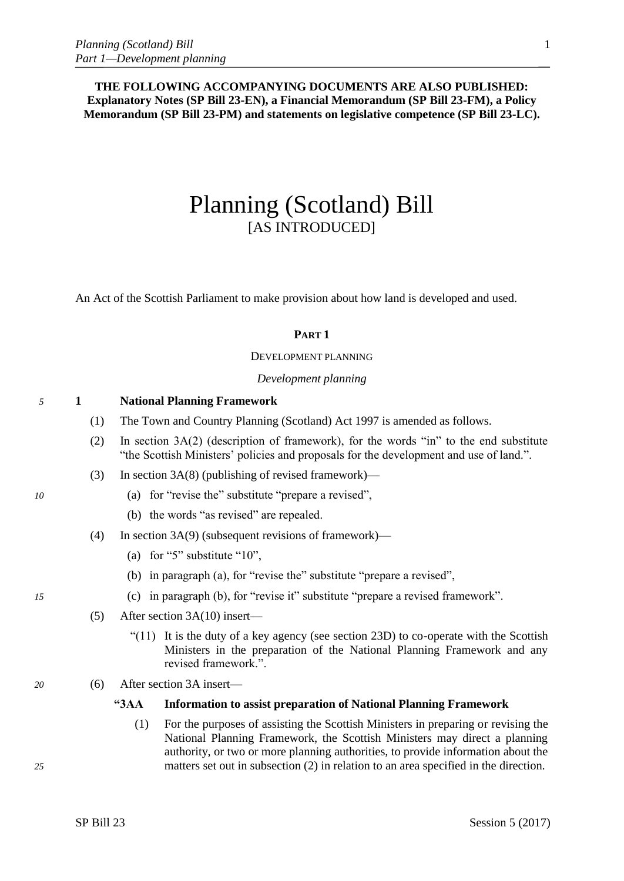**THE FOLLOWING ACCOMPANYING DOCUMENTS ARE ALSO PUBLISHED: Explanatory Notes (SP Bill 23-EN), a Financial Memorandum (SP Bill 23-FM), a Policy Memorandum (SP Bill 23-PM) and statements on legislative competence (SP Bill 23-LC).**

# Planning (Scotland) Bill [AS INTRODUCED]

An Act of the Scottish Parliament to make provision about how land is developed and used.

# **PART 1**

DEVELOPMENT PLANNING

*Development planning*

# *5* **1 National Planning Framework**

- (1) The Town and Country Planning (Scotland) Act 1997 is amended as follows.
- (2) In section 3A(2) (description of framework), for the words "in" to the end substitute "the Scottish Ministers' policies and proposals for the development and use of land.".
- (3) In section 3A(8) (publishing of revised framework)—
- *10* (a) for "revise the" substitute "prepare a revised",
	- (b) the words "as revised" are repealed.
	- (4) In section 3A(9) (subsequent revisions of framework)—
		- (a) for "5" substitute "10",
		- (b) in paragraph (a), for "revise the" substitute "prepare a revised",
- *15* (c) in paragraph (b), for "revise it" substitute "prepare a revised framework".
	- (5) After section 3A(10) insert—
		- " $(11)$  It is the duty of a key agency (see section 23D) to co-operate with the Scottish Ministers in the preparation of the National Planning Framework and any revised framework.".
- *20* (6) After section 3A insert—

# **"3AA Information to assist preparation of National Planning Framework**

(1) For the purposes of assisting the Scottish Ministers in preparing or revising the National Planning Framework, the Scottish Ministers may direct a planning authority, or two or more planning authorities, to provide information about the *25* matters set out in subsection (2) in relation to an area specified in the direction.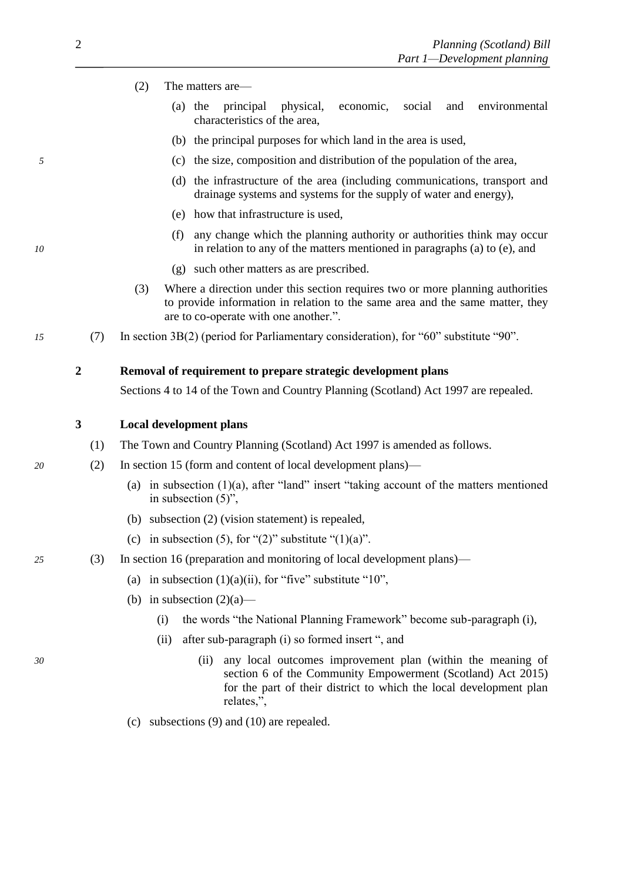# <span id="page-3-0"></span>(2) The matters are—

- (a) the principal physical, economic, social and environmental characteristics of the area,
- (b) the principal purposes for which land in the area is used,
- *5* (c) the size, composition and distribution of the population of the area,
	- (d) the infrastructure of the area (including communications, transport and drainage systems and systems for the supply of water and energy),
	- (e) how that infrastructure is used,
- (f) any change which the planning authority or authorities think may occur *10* in relation to any of the matters mentioned in paragraphs (a) to (e), and
	- (g) such other matters as are prescribed.
	- (3) Where a direction under this section requires two or more planning authorities to provide information in relation to the same area and the same matter, they are to co-operate with one another.".
- *15* (7) In section 3B(2) (period for Parliamentary consideration), for "60" substitute "90".

# **2 Removal of requirement to prepare strategic development plans**

Sections 4 to 14 of the Town and Country Planning (Scotland) Act 1997 are repealed.

# **3 Local development plans**

- (1) The Town and Country Planning (Scotland) Act 1997 is amended as follows.
- *20* (2) In section 15 (form and content of local development plans)—
	- (a) in subsection  $(1)(a)$ , after "land" insert "taking account of the matters mentioned in subsection (5)",
	- (b) subsection (2) (vision statement) is repealed,
	- (c) in subsection (5), for " $(2)$ " substitute " $(1)(a)$ ".
- *25* (3) In section 16 (preparation and monitoring of local development plans)—
	- (a) in subsection  $(1)(a)(ii)$ , for "five" substitute "10",
	- (b) in subsection  $(2)(a)$ 
		- (i) the words "the National Planning Framework" become sub-paragraph (i),
		- (ii) after sub-paragraph (i) so formed insert ", and
- *30* (ii) any local outcomes improvement plan (within the meaning of section 6 of the Community Empowerment (Scotland) Act 2015) for the part of their district to which the local development plan relates,",
	- (c) subsections (9) and (10) are repealed.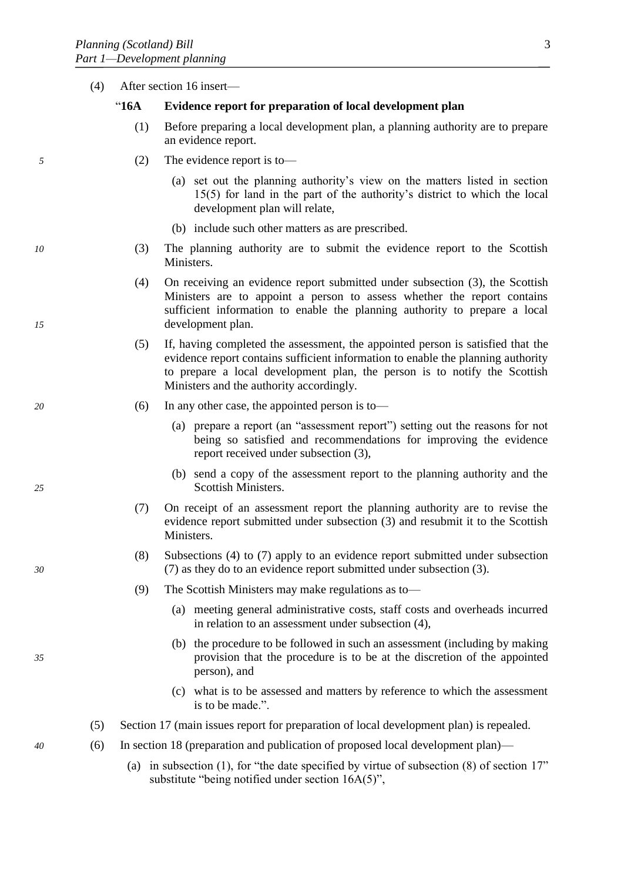|    | (4) | After section 16 insert- |                                                                                                                                                                                                                                                                                              |  |
|----|-----|--------------------------|----------------------------------------------------------------------------------------------------------------------------------------------------------------------------------------------------------------------------------------------------------------------------------------------|--|
|    |     | " $16A$                  | Evidence report for preparation of local development plan                                                                                                                                                                                                                                    |  |
|    |     | (1)                      | Before preparing a local development plan, a planning authority are to prepare<br>an evidence report.                                                                                                                                                                                        |  |
| 5  |     | (2)                      | The evidence report is to-                                                                                                                                                                                                                                                                   |  |
|    |     |                          | (a) set out the planning authority's view on the matters listed in section<br>15(5) for land in the part of the authority's district to which the local<br>development plan will relate,                                                                                                     |  |
|    |     |                          | (b) include such other matters as are prescribed.                                                                                                                                                                                                                                            |  |
| 10 |     | (3)                      | The planning authority are to submit the evidence report to the Scottish<br>Ministers.                                                                                                                                                                                                       |  |
| 15 |     | (4)                      | On receiving an evidence report submitted under subsection (3), the Scottish<br>Ministers are to appoint a person to assess whether the report contains<br>sufficient information to enable the planning authority to prepare a local<br>development plan.                                   |  |
|    |     | (5)                      | If, having completed the assessment, the appointed person is satisfied that the<br>evidence report contains sufficient information to enable the planning authority<br>to prepare a local development plan, the person is to notify the Scottish<br>Ministers and the authority accordingly. |  |
| 20 |     | (6)                      | In any other case, the appointed person is to-                                                                                                                                                                                                                                               |  |
|    |     |                          | (a) prepare a report (an "assessment report") setting out the reasons for not<br>being so satisfied and recommendations for improving the evidence<br>report received under subsection (3),                                                                                                  |  |
| 25 |     |                          | (b) send a copy of the assessment report to the planning authority and the<br>Scottish Ministers.                                                                                                                                                                                            |  |
|    |     | (7)                      | On receipt of an assessment report the planning authority are to revise the<br>evidence report submitted under subsection (3) and resubmit it to the Scottish<br>Ministers.                                                                                                                  |  |
| 30 |     | (8)                      | Subsections $(4)$ to $(7)$ apply to an evidence report submitted under subsection<br>(7) as they do to an evidence report submitted under subsection (3).                                                                                                                                    |  |
|    |     | (9)                      | The Scottish Ministers may make regulations as to-                                                                                                                                                                                                                                           |  |
|    |     |                          | (a) meeting general administrative costs, staff costs and overheads incurred<br>in relation to an assessment under subsection (4),                                                                                                                                                           |  |
| 35 |     |                          | (b) the procedure to be followed in such an assessment (including by making<br>provision that the procedure is to be at the discretion of the appointed<br>person), and                                                                                                                      |  |
|    |     |                          | (c) what is to be assessed and matters by reference to which the assessment<br>is to be made.".                                                                                                                                                                                              |  |
|    | (5) |                          | Section 17 (main issues report for preparation of local development plan) is repealed.                                                                                                                                                                                                       |  |
| 40 | (6) |                          | In section 18 (preparation and publication of proposed local development plan)—                                                                                                                                                                                                              |  |
|    |     |                          | (a) in subsection (1), for "the date specified by virtue of subsection $(8)$ of section 17"<br>substitute "being notified under section 16A(5)",                                                                                                                                             |  |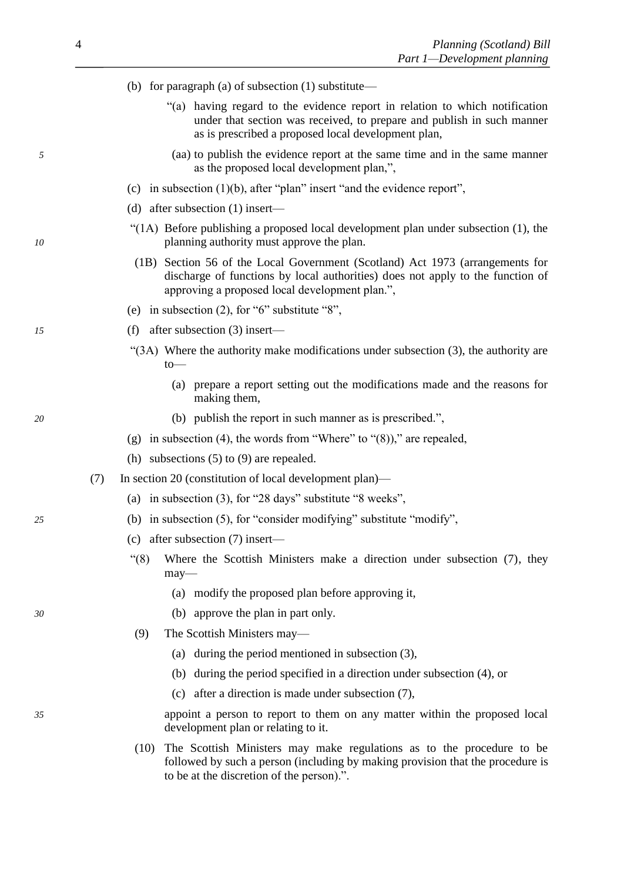|    | (b) for paragraph (a) of subsection $(1)$ substitute—                                                                                                                                                             |
|----|-------------------------------------------------------------------------------------------------------------------------------------------------------------------------------------------------------------------|
|    | "(a) having regard to the evidence report in relation to which notification<br>under that section was received, to prepare and publish in such manner<br>as is prescribed a proposed local development plan,      |
| 5  | (aa) to publish the evidence report at the same time and in the same manner<br>as the proposed local development plan,",                                                                                          |
|    | (c) in subsection $(1)(b)$ , after "plan" insert "and the evidence report",                                                                                                                                       |
|    | (d) after subsection $(1)$ insert—                                                                                                                                                                                |
| 10 | "(1A) Before publishing a proposed local development plan under subsection $(1)$ , the<br>planning authority must approve the plan.                                                                               |
|    | (1B) Section 56 of the Local Government (Scotland) Act 1973 (arrangements for<br>discharge of functions by local authorities) does not apply to the function of<br>approving a proposed local development plan.", |
|    | (e) in subsection $(2)$ , for "6" substitute "8",                                                                                                                                                                 |
| 15 | after subsection $(3)$ insert—<br>(f)                                                                                                                                                                             |
|    | "(3A) Where the authority make modifications under subsection (3), the authority are<br>to                                                                                                                        |
|    | (a) prepare a report setting out the modifications made and the reasons for<br>making them,                                                                                                                       |
| 20 | (b) publish the report in such manner as is prescribed.",                                                                                                                                                         |
|    | (g) in subsection (4), the words from "Where" to " $(8)$ )," are repealed,                                                                                                                                        |
|    | (h) subsections $(5)$ to $(9)$ are repealed.                                                                                                                                                                      |
|    | In section 20 (constitution of local development plan)—<br>(7)                                                                                                                                                    |
|    | (a) in subsection $(3)$ , for "28 days" substitute "8 weeks",                                                                                                                                                     |
| 25 | (b) in subsection $(5)$ , for "consider modifying" substitute "modify",                                                                                                                                           |
|    | (c) after subsection $(7)$ insert—                                                                                                                                                                                |
|    | " $(8)$<br>Where the Scottish Ministers make a direction under subsection (7), they<br>may-                                                                                                                       |
|    | (a) modify the proposed plan before approving it,                                                                                                                                                                 |
| 30 | approve the plan in part only.<br>(b)                                                                                                                                                                             |
|    | The Scottish Ministers may—<br>(9)                                                                                                                                                                                |
|    | (a) during the period mentioned in subsection $(3)$ ,                                                                                                                                                             |
|    | during the period specified in a direction under subsection (4), or<br>(b)                                                                                                                                        |
|    | (c) after a direction is made under subsection $(7)$ ,                                                                                                                                                            |
| 35 | appoint a person to report to them on any matter within the proposed local<br>development plan or relating to it.                                                                                                 |
|    | The Scottish Ministers may make regulations as to the procedure to be<br>(10)<br>followed by such a person (including by making provision that the procedure is<br>to be at the discretion of the person).".      |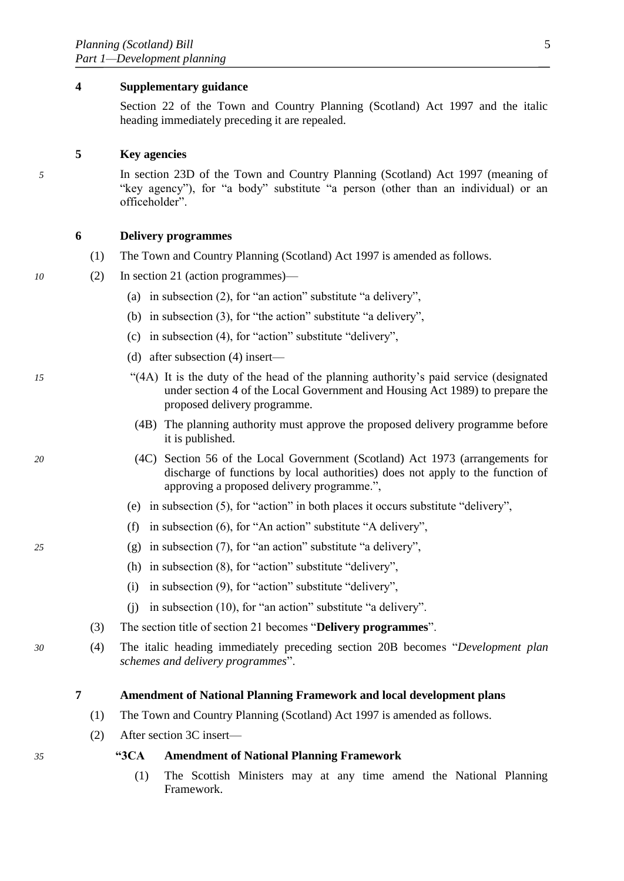#### <span id="page-6-0"></span>**4 Supplementary guidance**

Section 22 of the Town and Country Planning (Scotland) Act 1997 and the italic heading immediately preceding it are repealed.

# **5 Key agencies**

*5* In section 23D of the Town and Country Planning (Scotland) Act 1997 (meaning of "key agency"), for "a body" substitute "a person (other than an individual) or an officeholder".

# **6 Delivery programmes**

- (1) The Town and Country Planning (Scotland) Act 1997 is amended as follows.
- *10* (2) In section 21 (action programmes)—
	- (a) in subsection (2), for "an action" substitute "a delivery",
	- (b) in subsection (3), for "the action" substitute "a delivery",
	- (c) in subsection (4), for "action" substitute "delivery",
	- (d) after subsection (4) insert—
- *15* "(4A) It is the duty of the head of the planning authority's paid service (designated under section 4 of the Local Government and Housing Act 1989) to prepare the proposed delivery programme.
	- (4B) The planning authority must approve the proposed delivery programme before it is published.
- *20* (4C) Section 56 of the Local Government (Scotland) Act 1973 (arrangements for discharge of functions by local authorities) does not apply to the function of approving a proposed delivery programme.",
	- (e) in subsection (5), for "action" in both places it occurs substitute "delivery",
	- (f) in subsection (6), for "An action" substitute "A delivery",
- *25* (g) in subsection (7), for "an action" substitute "a delivery",
	- (h) in subsection (8), for "action" substitute "delivery",
	- (i) in subsection (9), for "action" substitute "delivery",
	- (j) in subsection (10), for "an action" substitute "a delivery".
	- (3) The section title of section 21 becomes "**Delivery programmes**".
- *30* (4) The italic heading immediately preceding section 20B becomes "*Development plan schemes and delivery programmes*".

# **7 Amendment of National Planning Framework and local development plans**

- (1) The Town and Country Planning (Scotland) Act 1997 is amended as follows.
- (2) After section 3C insert—

*35* **"3CA Amendment of National Planning Framework**

(1) The Scottish Ministers may at any time amend the National Planning Framework.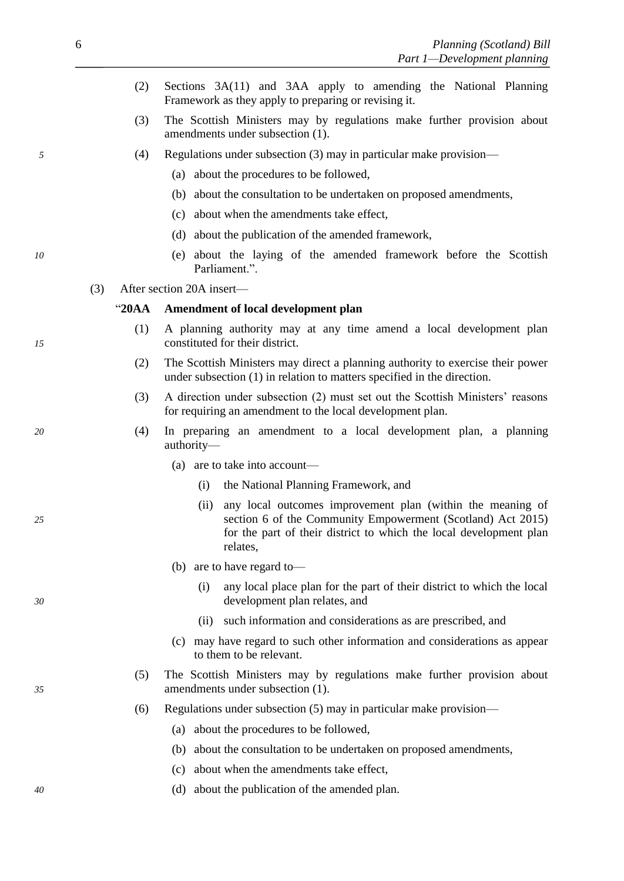- (2) Sections 3A(11) and 3AA apply to amending the National Planning Framework as they apply to preparing or revising it.
- (3) The Scottish Ministers may by regulations make further provision about amendments under subsection (1).
- *5* (4) Regulations under subsection (3) may in particular make provision—
	- (a) about the procedures to be followed,
	- (b) about the consultation to be undertaken on proposed amendments,
	- (c) about when the amendments take effect,
	- (d) about the publication of the amended framework,
- *10* (e) about the laying of the amended framework before the Scottish Parliament.".
	- (3) After section 20A insert—

# "**20AA Amendment of local development plan**

- (1) A planning authority may at any time amend a local development plan *15* constituted for their district.
	- (2) The Scottish Ministers may direct a planning authority to exercise their power under subsection (1) in relation to matters specified in the direction.
	- (3) A direction under subsection (2) must set out the Scottish Ministers' reasons for requiring an amendment to the local development plan.
- *20* (4) In preparing an amendment to a local development plan, a planning authority—
	- (a) are to take into account—
		- (i) the National Planning Framework, and
- (ii) any local outcomes improvement plan (within the meaning of *25* section 6 of the Community Empowerment (Scotland) Act 2015) for the part of their district to which the local development plan relates,
	- (b) are to have regard to—
- (i) any local place plan for the part of their district to which the local *30* development plan relates, and
	- (ii) such information and considerations as are prescribed, and
	- (c) may have regard to such other information and considerations as appear to them to be relevant.
- (5) The Scottish Ministers may by regulations make further provision about *35* amendments under subsection (1).
	- (6) Regulations under subsection (5) may in particular make provision—
		- (a) about the procedures to be followed,
		- (b) about the consultation to be undertaken on proposed amendments,
		- (c) about when the amendments take effect,
- *40* (d) about the publication of the amended plan.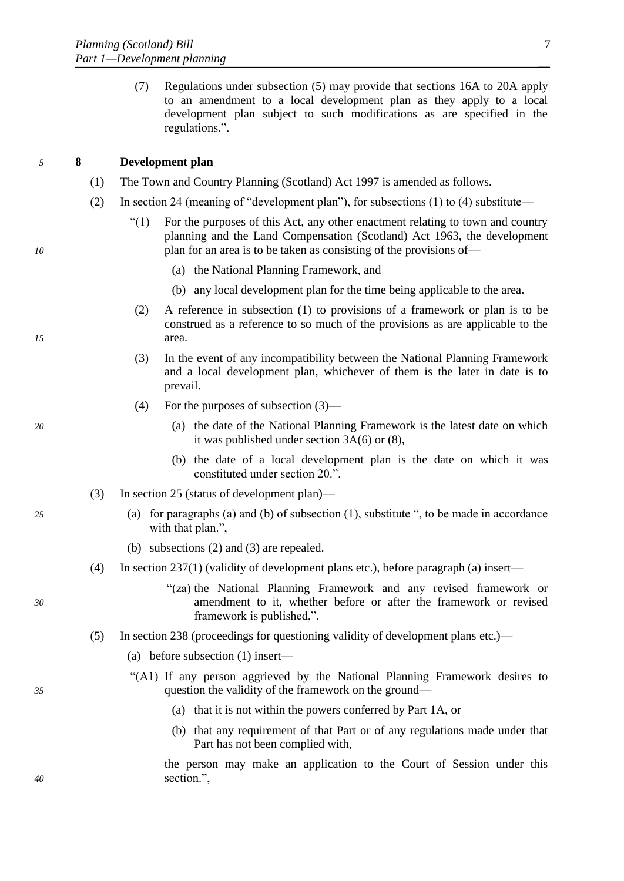<span id="page-8-0"></span>(7) Regulations under subsection (5) may provide that sections 16A to 20A apply to an amendment to a local development plan as they apply to a local development plan subject to such modifications as are specified in the regulations.".

# *5* **8 Development plan**

- (1) The Town and Country Planning (Scotland) Act 1997 is amended as follows.
- (2) In section 24 (meaning of "development plan"), for subsections (1) to (4) substitute—
- "(1) For the purposes of this Act, any other enactment relating to town and country planning and the Land Compensation (Scotland) Act 1963, the development *10* **plan for an area is to be taken as consisting of the provisions of —** 
	- (a) the National Planning Framework, and
	- (b) any local development plan for the time being applicable to the area.
- (2) A reference in subsection (1) to provisions of a framework or plan is to be construed as a reference to so much of the provisions as are applicable to the *15* area.
	- (3) In the event of any incompatibility between the National Planning Framework and a local development plan, whichever of them is the later in date is to prevail.
	- (4) For the purposes of subsection (3)—
- *20* (a) the date of the National Planning Framework is the latest date on which it was published under section 3A(6) or (8),
	- (b) the date of a local development plan is the date on which it was constituted under section 20.".
	- (3) In section 25 (status of development plan)—
- *25* (a) for paragraphs (a) and (b) of subsection (1), substitute ", to be made in accordance with that plan.",
	- (b) subsections (2) and (3) are repealed.
	- (4) In section 237(1) (validity of development plans etc.), before paragraph (a) insert—
- "(za) the National Planning Framework and any revised framework or *30* amendment to it, whether before or after the framework or revised framework is published,".
	- (5) In section 238 (proceedings for questioning validity of development plans etc.)—
		- (a) before subsection (1) insert—
- "(A1) If any person aggrieved by the National Planning Framework desires to *35* question the validity of the framework on the ground—
	- (a) that it is not within the powers conferred by Part 1A, or
	- (b) that any requirement of that Part or of any regulations made under that Part has not been complied with,

the person may make an application to the Court of Session under this *40* section.",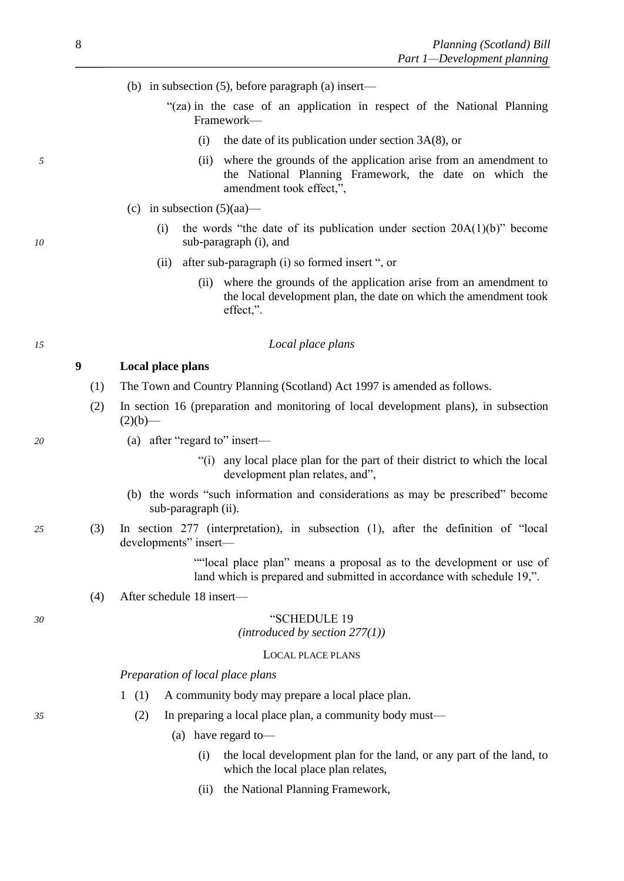- (b) in subsection (5), before paragraph (a) insert—
	- "(za) in the case of an application in respect of the National Planning Framework—
		- (i) the date of its publication under section  $3A(8)$ , or
- *5* (ii) where the grounds of the application arise from an amendment to the National Planning Framework, the date on which the amendment took effect,",
	- (c) in subsection  $(5)(aa)$ —
- (i) the words "the date of its publication under section 20A(1)(b)" become *10* sub-paragraph (i), and
	- (ii) after sub-paragraph (i) so formed insert ", or
		- (ii) where the grounds of the application arise from an amendment to the local development plan, the date on which the amendment took effect,".

# *15 Local place plans*

# **9 Local place plans**

- (1) The Town and Country Planning (Scotland) Act 1997 is amended as follows.
- (2) In section 16 (preparation and monitoring of local development plans), in subsection  $(2)(b)$ —
- *20* (a) after "regard to" insert—
	- "(i) any local place plan for the part of their district to which the local development plan relates, and",
	- (b) the words "such information and considerations as may be prescribed" become sub-paragraph (ii).
- *25* (3) In section 277 (interpretation), in subsection (1), after the definition of "local developments" insert—

""local place plan" means a proposal as to the development or use of land which is prepared and submitted in accordance with schedule 19,".

(4) After schedule 18 insert—

#### *30* "SCHEDULE 19

*(introduced by section 277(1))*

#### LOCAL PLACE PLANS

#### *Preparation of local place plans*

- 1 (1) A community body may prepare a local place plan.
- *35* (2) In preparing a local place plan, a community body must—
	- (a) have regard to—
		- (i) the local development plan for the land, or any part of the land, to which the local place plan relates,
		- (ii) the National Planning Framework,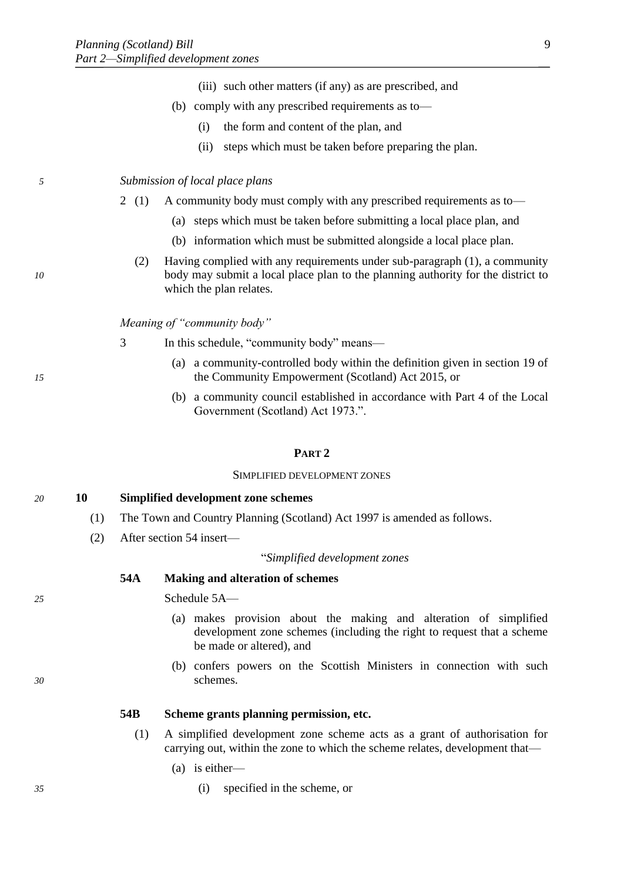- (iii) such other matters (if any) as are prescribed, and
- (b) comply with any prescribed requirements as to—
	- (i) the form and content of the plan, and
	- (ii) steps which must be taken before preparing the plan.

# *5 Submission of local place plans*

- 2 (1) A community body must comply with any prescribed requirements as to—
	- (a) steps which must be taken before submitting a local place plan, and
	- (b) information which must be submitted alongside a local place plan.
- (2) Having complied with any requirements under sub-paragraph (1), a community *10* body may submit a local place plan to the planning authority for the district to which the plan relates.

*Meaning of "community body"*

- 3 In this schedule, "community body" means—
- (a) a community-controlled body within the definition given in section 19 of *15* the Community Empowerment (Scotland) Act 2015, or
	- (b) a community council established in accordance with Part 4 of the Local Government (Scotland) Act 1973.".

#### **PART 2**

#### SIMPLIFIED DEVELOPMENT ZONES

# *20* **10 Simplified development zone schemes**

- (1) The Town and Country Planning (Scotland) Act 1997 is amended as follows.
- (2) After section 54 insert—

#### "*Simplified development zones*

# **54A Making and alteration of schemes**

*25* Schedule 5A—

- (a) makes provision about the making and alteration of simplified development zone schemes (including the right to request that a scheme be made or altered), and
- (b) confers powers on the Scottish Ministers in connection with such *30* schemes.

**54B Scheme grants planning permission, etc.**

- (1) A simplified development zone scheme acts as a grant of authorisation for carrying out, within the zone to which the scheme relates, development that—
	- (a) is either—
- *35* (i) specified in the scheme, or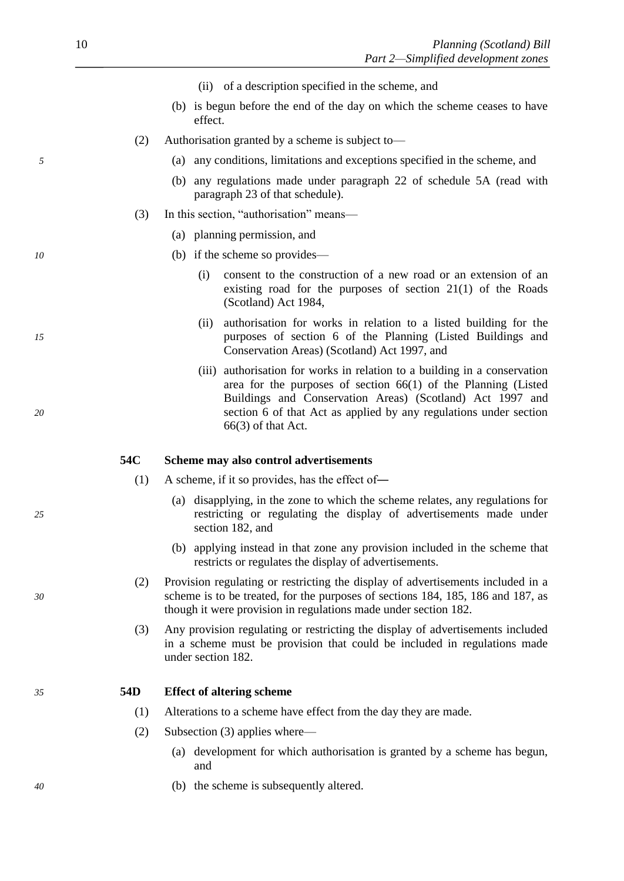- (ii) of a description specified in the scheme, and
- (b) is begun before the end of the day on which the scheme ceases to have effect.
- (2) Authorisation granted by a scheme is subject to—
- *5* (a) any conditions, limitations and exceptions specified in the scheme, and
	- (b) any regulations made under paragraph 22 of schedule 5A (read with paragraph 23 of that schedule).
	- (3) In this section, "authorisation" means—
		- (a) planning permission, and
- *10* (b) if the scheme so provides—
	- (i) consent to the construction of a new road or an extension of an existing road for the purposes of section 21(1) of the Roads (Scotland) Act 1984,
- (ii) authorisation for works in relation to a listed building for the *15* purposes of section 6 of the Planning (Listed Buildings and Conservation Areas) (Scotland) Act 1997, and
- (iii) authorisation for works in relation to a building in a conservation area for the purposes of section 66(1) of the Planning (Listed Buildings and Conservation Areas) (Scotland) Act 1997 and *20* section 6 of that Act as applied by any regulations under section 66(3) of that Act.

#### **54C Scheme may also control advertisements**

- (1) A scheme, if it so provides, has the effect of―
- (a) disapplying, in the zone to which the scheme relates, any regulations for *25* restricting or regulating the display of advertisements made under section 182, and
	- (b) applying instead in that zone any provision included in the scheme that restricts or regulates the display of advertisements.
- (2) Provision regulating or restricting the display of advertisements included in a *30* scheme is to be treated, for the purposes of sections 184, 185, 186 and 187, as though it were provision in regulations made under section 182.
	- (3) Any provision regulating or restricting the display of advertisements included in a scheme must be provision that could be included in regulations made under section 182.

#### *35* **54D Effect of altering scheme**

- (1) Alterations to a scheme have effect from the day they are made.
- (2) Subsection (3) applies where—
	- (a) development for which authorisation is granted by a scheme has begun, and
- *40* (b) the scheme is subsequently altered.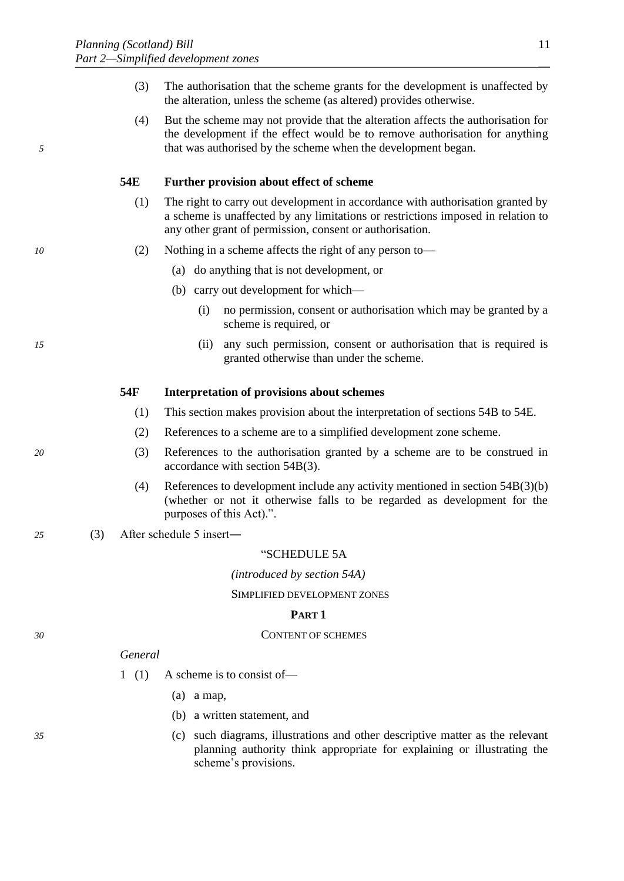- (3) The authorisation that the scheme grants for the development is unaffected by the alteration, unless the scheme (as altered) provides otherwise.
- (4) But the scheme may not provide that the alteration affects the authorisation for the development if the effect would be to remove authorisation for anything *5* that was authorised by the scheme when the development began.

# **54E Further provision about effect of scheme**

- (1) The right to carry out development in accordance with authorisation granted by a scheme is unaffected by any limitations or restrictions imposed in relation to any other grant of permission, consent or authorisation.
- *10* (2) Nothing in a scheme affects the right of any person to—
	- (a) do anything that is not development, or
	- (b) carry out development for which—
		- (i) no permission, consent or authorisation which may be granted by a scheme is required, or
- *15* (ii) any such permission, consent or authorisation that is required is granted otherwise than under the scheme.

#### **54F Interpretation of provisions about schemes**

- (1) This section makes provision about the interpretation of sections 54B to 54E.
- (2) References to a scheme are to a simplified development zone scheme.
- *20* (3) References to the authorisation granted by a scheme are to be construed in accordance with section 54B(3).
	- (4) References to development include any activity mentioned in section 54B(3)(b) (whether or not it otherwise falls to be regarded as development for the purposes of this Act).".

# *25* (3) After schedule 5 insert―

#### "SCHEDULE 5A

*(introduced by section 54A)*

SIMPLIFIED DEVELOPMENT ZONES

# **PART 1**

#### *30* CONTENT OF SCHEMES

#### *General*

- 1 (1) A scheme is to consist of—
	- (a) a map,
	- (b) a written statement, and
- *35* (c) such diagrams, illustrations and other descriptive matter as the relevant planning authority think appropriate for explaining or illustrating the scheme's provisions.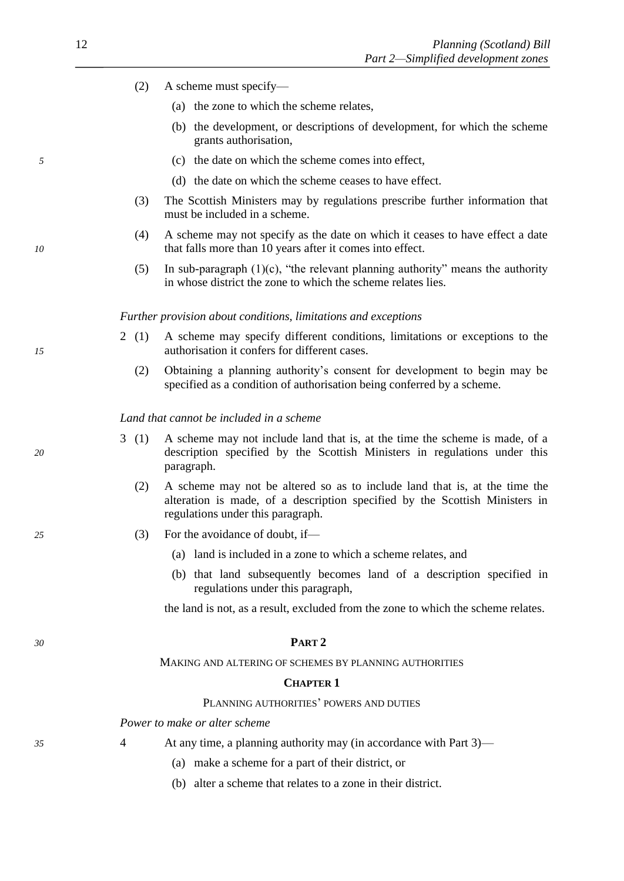- (2) A scheme must specify—
	- (a) the zone to which the scheme relates,
	- (b) the development, or descriptions of development, for which the scheme grants authorisation,
- *5* (c) the date on which the scheme comes into effect,
	- (d) the date on which the scheme ceases to have effect.
	- (3) The Scottish Ministers may by regulations prescribe further information that must be included in a scheme.
- (4) A scheme may not specify as the date on which it ceases to have effect a date *10* that falls more than 10 years after it comes into effect.
	- (5) In sub-paragraph (1)(c), "the relevant planning authority" means the authority in whose district the zone to which the scheme relates lies.

*Further provision about conditions, limitations and exceptions*

- 2 (1) A scheme may specify different conditions, limitations or exceptions to the *15* authorisation it confers for different cases.
	- (2) Obtaining a planning authority's consent for development to begin may be specified as a condition of authorisation being conferred by a scheme.

# *Land that cannot be included in a scheme*

- 3 (1) A scheme may not include land that is, at the time the scheme is made, of a *20* description specified by the Scottish Ministers in regulations under this paragraph.
	- (2) A scheme may not be altered so as to include land that is, at the time the alteration is made, of a description specified by the Scottish Ministers in regulations under this paragraph.
- *25* (3) For the avoidance of doubt, if—
	- (a) land is included in a zone to which a scheme relates, and
	- (b) that land subsequently becomes land of a description specified in regulations under this paragraph,

the land is not, as a result, excluded from the zone to which the scheme relates.

*30* **PART 2**

#### MAKING AND ALTERING OF SCHEMES BY PLANNING AUTHORITIES

# **CHAPTER 1**

#### PLANNING AUTHORITIES' POWERS AND DUTIES

*Power to make or alter scheme*

- 
- *35* 4 At any time, a planning authority may (in accordance with Part 3)—
	- (a) make a scheme for a part of their district, or
	- (b) alter a scheme that relates to a zone in their district.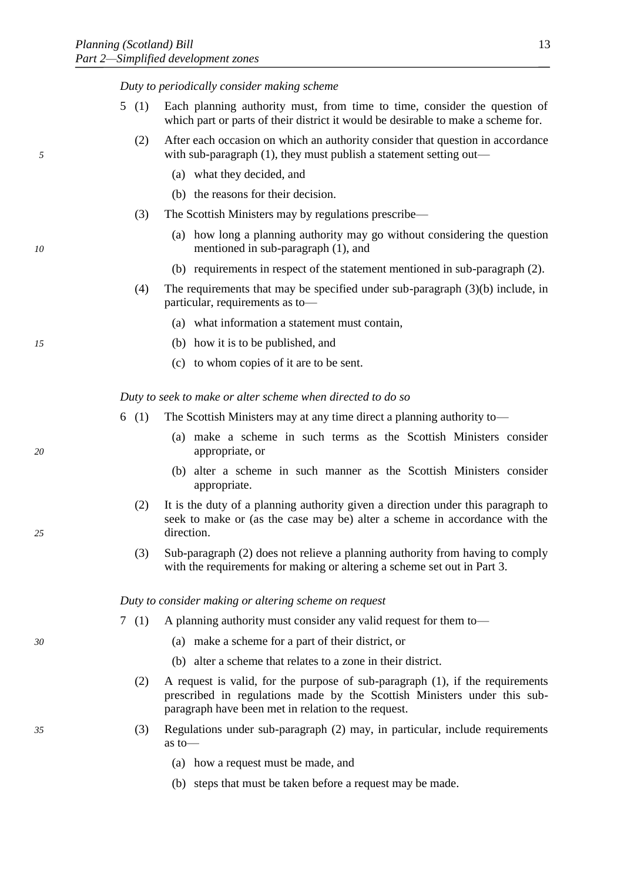*Duty to periodically consider making scheme*

- 5 (1) Each planning authority must, from time to time, consider the question of which part or parts of their district it would be desirable to make a scheme for.
- (2) After each occasion on which an authority consider that question in accordance *5* with sub-paragraph (1), they must publish a statement setting out—
	- (a) what they decided, and
	- (b) the reasons for their decision.
	- (3) The Scottish Ministers may by regulations prescribe—
- (a) how long a planning authority may go without considering the question *10* mentioned in sub-paragraph (1), and
	- (b) requirements in respect of the statement mentioned in sub-paragraph (2).
	- (4) The requirements that may be specified under sub-paragraph (3)(b) include, in particular, requirements as to—
		- (a) what information a statement must contain,
- *15* (b) how it is to be published, and
	- (c) to whom copies of it are to be sent.

*Duty to seek to make or alter scheme when directed to do so*

- 6 (1) The Scottish Ministers may at any time direct a planning authority to—
- (a) make a scheme in such terms as the Scottish Ministers consider *20* appropriate, or
	- (b) alter a scheme in such manner as the Scottish Ministers consider appropriate.
- (2) It is the duty of a planning authority given a direction under this paragraph to seek to make or (as the case may be) alter a scheme in accordance with the *25* direction.
	- (3) Sub-paragraph (2) does not relieve a planning authority from having to comply with the requirements for making or altering a scheme set out in Part 3.

*Duty to consider making or altering scheme on request*

- 7 (1) A planning authority must consider any valid request for them to—
- *30* (a) make a scheme for a part of their district, or
	- (b) alter a scheme that relates to a zone in their district.
	- (2) A request is valid, for the purpose of sub-paragraph (1), if the requirements prescribed in regulations made by the Scottish Ministers under this subparagraph have been met in relation to the request.
- *35* (3) Regulations under sub-paragraph (2) may, in particular, include requirements as to—
	- (a) how a request must be made, and
	- (b) steps that must be taken before a request may be made.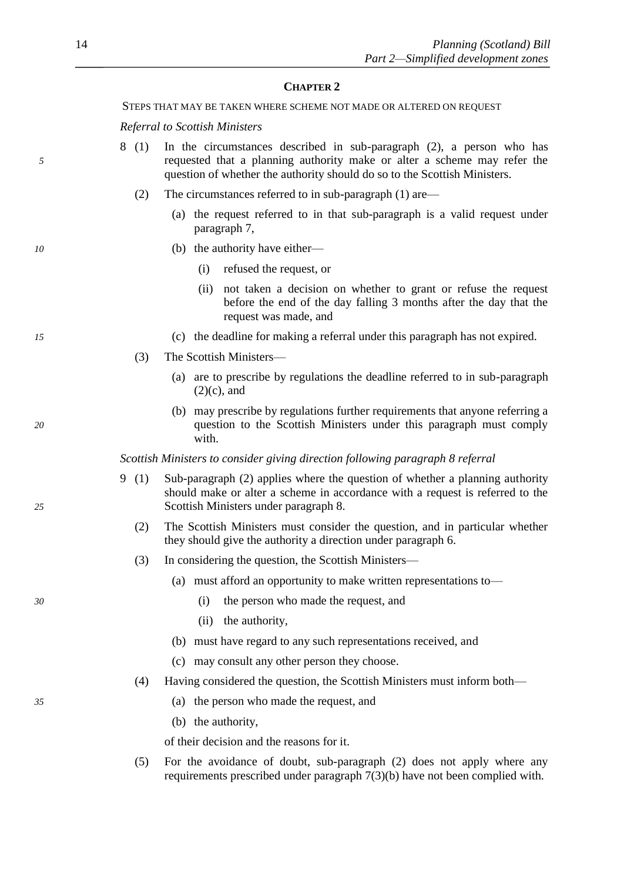#### **CHAPTER 2**

STEPS THAT MAY BE TAKEN WHERE SCHEME NOT MADE OR ALTERED ON REQUEST

*Referral to Scottish Ministers*

- 8 (1) In the circumstances described in sub-paragraph (2), a person who has *5* requested that a planning authority make or alter a scheme may refer the question of whether the authority should do so to the Scottish Ministers.
	- (2) The circumstances referred to in sub-paragraph (1) are—
		- (a) the request referred to in that sub-paragraph is a valid request under paragraph 7,
- *10* (b) the authority have either—
	- (i) refused the request, or
	- (ii) not taken a decision on whether to grant or refuse the request before the end of the day falling 3 months after the day that the request was made, and
- *15* (c) the deadline for making a referral under this paragraph has not expired.
	- (3) The Scottish Ministers—
		- (a) are to prescribe by regulations the deadline referred to in sub-paragraph  $(2)(c)$ , and
- (b) may prescribe by regulations further requirements that anyone referring a *20* question to the Scottish Ministers under this paragraph must comply with.

*Scottish Ministers to consider giving direction following paragraph 8 referral*

- 9 (1) Sub-paragraph (2) applies where the question of whether a planning authority should make or alter a scheme in accordance with a request is referred to the *25* Scottish Ministers under paragraph 8.
	- (2) The Scottish Ministers must consider the question, and in particular whether they should give the authority a direction under paragraph 6.
	- (3) In considering the question, the Scottish Ministers—
		- (a) must afford an opportunity to make written representations to—
- *30* (i) the person who made the request, and
	- (ii) the authority,
	- (b) must have regard to any such representations received, and
	- (c) may consult any other person they choose.
	- (4) Having considered the question, the Scottish Ministers must inform both—
- *35* (a) the person who made the request, and
	- (b) the authority,

of their decision and the reasons for it.

(5) For the avoidance of doubt, sub-paragraph (2) does not apply where any requirements prescribed under paragraph 7(3)(b) have not been complied with.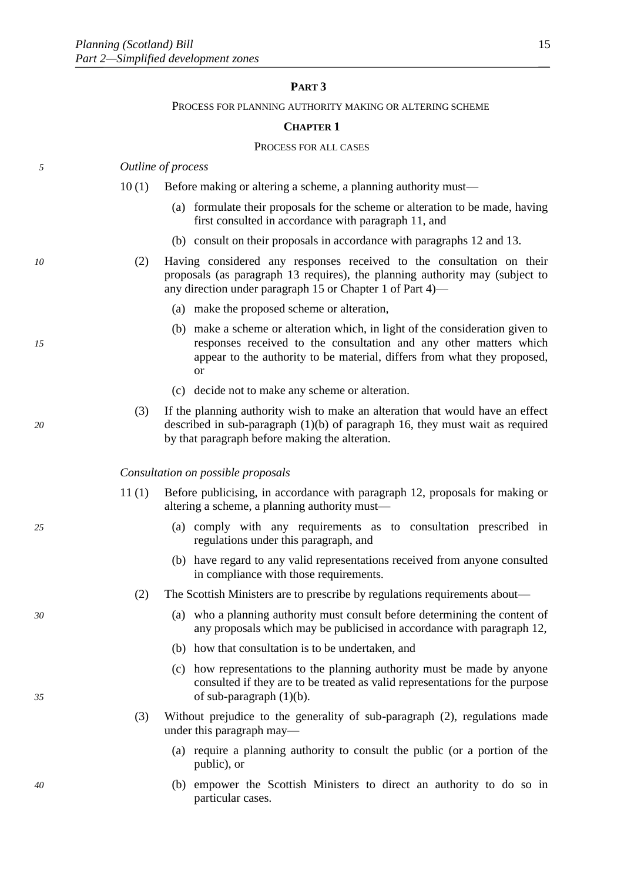# **PART 3**

#### PROCESS FOR PLANNING AUTHORITY MAKING OR ALTERING SCHEME

#### **CHAPTER 1**

#### PROCESS FOR ALL CASES

# *5 Outline of process*

- 10 (1) Before making or altering a scheme, a planning authority must—
	- (a) formulate their proposals for the scheme or alteration to be made, having first consulted in accordance with paragraph 11, and
	- (b) consult on their proposals in accordance with paragraphs 12 and 13.
- *10* (2) Having considered any responses received to the consultation on their proposals (as paragraph 13 requires), the planning authority may (subject to any direction under paragraph 15 or Chapter 1 of Part 4)—
	- (a) make the proposed scheme or alteration,
- (b) make a scheme or alteration which, in light of the consideration given to *15* responses received to the consultation and any other matters which appear to the authority to be material, differs from what they proposed, or
	- (c) decide not to make any scheme or alteration.
- (3) If the planning authority wish to make an alteration that would have an effect *20* described in sub-paragraph (1)(b) of paragraph 16, they must wait as required by that paragraph before making the alteration.

#### *Consultation on possible proposals*

- 11 (1) Before publicising, in accordance with paragraph 12, proposals for making or altering a scheme, a planning authority must—
- *25* (a) comply with any requirements as to consultation prescribed in regulations under this paragraph, and
	- (b) have regard to any valid representations received from anyone consulted in compliance with those requirements.
	- (2) The Scottish Ministers are to prescribe by regulations requirements about—
- *30* (a) who a planning authority must consult before determining the content of any proposals which may be publicised in accordance with paragraph 12,
	- (b) how that consultation is to be undertaken, and
- (c) how representations to the planning authority must be made by anyone consulted if they are to be treated as valid representations for the purpose *35* of sub-paragraph (1)(b).
	- (3) Without prejudice to the generality of sub-paragraph (2), regulations made under this paragraph may—
		- (a) require a planning authority to consult the public (or a portion of the public), or
- *40* (b) empower the Scottish Ministers to direct an authority to do so in particular cases.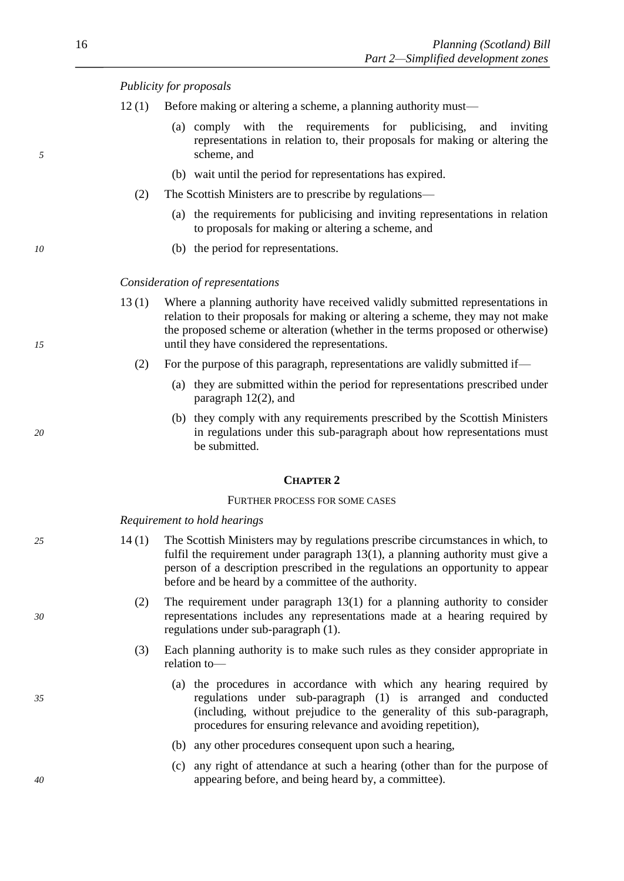# *Publicity for proposals*

- 12 (1) Before making or altering a scheme, a planning authority must—
- (a) comply with the requirements for publicising, and inviting representations in relation to, their proposals for making or altering the *5* scheme, and
	- (b) wait until the period for representations has expired.
	- (2) The Scottish Ministers are to prescribe by regulations—
		- (a) the requirements for publicising and inviting representations in relation to proposals for making or altering a scheme, and
- *10* (b) the period for representations.

# *Consideration of representations*

- 13 (1) Where a planning authority have received validly submitted representations in relation to their proposals for making or altering a scheme, they may not make the proposed scheme or alteration (whether in the terms proposed or otherwise) *15* until they have considered the representations.
	- (2) For the purpose of this paragraph, representations are validly submitted if—
		- (a) they are submitted within the period for representations prescribed under paragraph 12(2), and
- (b) they comply with any requirements prescribed by the Scottish Ministers *20* in regulations under this sub-paragraph about how representations must be submitted.

#### **CHAPTER 2**

# FURTHER PROCESS FOR SOME CASES

*Requirement to hold hearings*

- *25* 14 (1) The Scottish Ministers may by regulations prescribe circumstances in which, to fulfil the requirement under paragraph 13(1), a planning authority must give a person of a description prescribed in the regulations an opportunity to appear before and be heard by a committee of the authority.
- (2) The requirement under paragraph 13(1) for a planning authority to consider *30* representations includes any representations made at a hearing required by regulations under sub-paragraph (1).
	- (3) Each planning authority is to make such rules as they consider appropriate in relation to—
- (a) the procedures in accordance with which any hearing required by *35* regulations under sub-paragraph (1) is arranged and conducted (including, without prejudice to the generality of this sub-paragraph, procedures for ensuring relevance and avoiding repetition),
	- (b) any other procedures consequent upon such a hearing,
- (c) any right of attendance at such a hearing (other than for the purpose of *40* appearing before, and being heard by, a committee).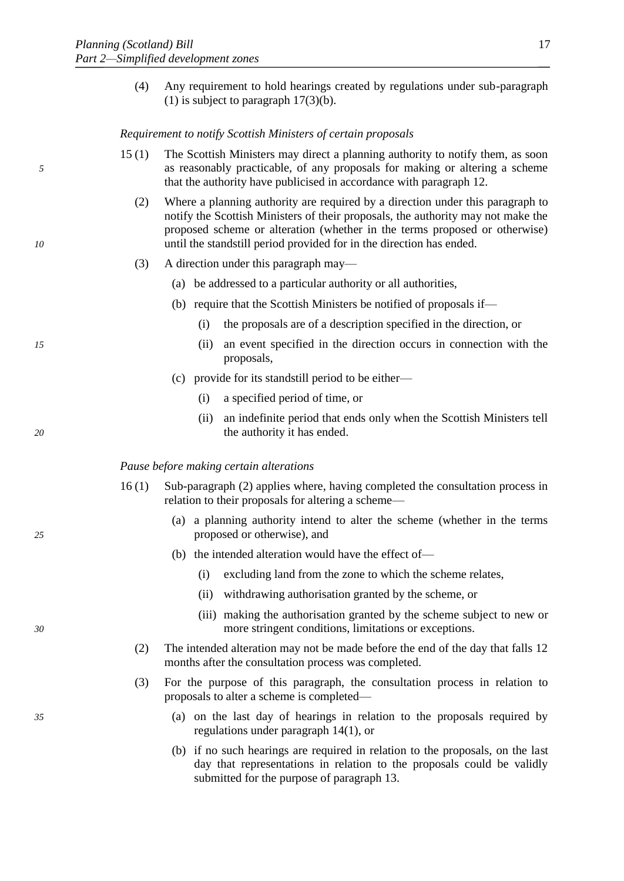(4) Any requirement to hold hearings created by regulations under sub-paragraph (1) is subject to paragraph  $17(3)(b)$ .

*Requirement to notify Scottish Ministers of certain proposals*

- 15 (1) The Scottish Ministers may direct a planning authority to notify them, as soon *5* as reasonably practicable, of any proposals for making or altering a scheme that the authority have publicised in accordance with paragraph 12.
- (2) Where a planning authority are required by a direction under this paragraph to notify the Scottish Ministers of their proposals, the authority may not make the proposed scheme or alteration (whether in the terms proposed or otherwise) *10* until the standstill period provided for in the direction has ended.
	- (3) A direction under this paragraph may—
		- (a) be addressed to a particular authority or all authorities,
		- (b) require that the Scottish Ministers be notified of proposals if—
			- (i) the proposals are of a description specified in the direction, or
- *15* (ii) an event specified in the direction occurs in connection with the proposals,
	- (c) provide for its standstill period to be either—
		- (i) a specified period of time, or
- (ii) an indefinite period that ends only when the Scottish Ministers tell *20* the authority it has ended.

### *Pause before making certain alterations*

- 16 (1) Sub-paragraph (2) applies where, having completed the consultation process in relation to their proposals for altering a scheme—
- (a) a planning authority intend to alter the scheme (whether in the terms *25* proposed or otherwise), and
	- (b) the intended alteration would have the effect of—
		- (i) excluding land from the zone to which the scheme relates,
		- (ii) withdrawing authorisation granted by the scheme, or
- (iii) making the authorisation granted by the scheme subject to new or *30* more stringent conditions, limitations or exceptions.
	- (2) The intended alteration may not be made before the end of the day that falls 12 months after the consultation process was completed.
	- (3) For the purpose of this paragraph, the consultation process in relation to proposals to alter a scheme is completed—
- *35* (a) on the last day of hearings in relation to the proposals required by regulations under paragraph 14(1), or
	- (b) if no such hearings are required in relation to the proposals, on the last day that representations in relation to the proposals could be validly submitted for the purpose of paragraph 13.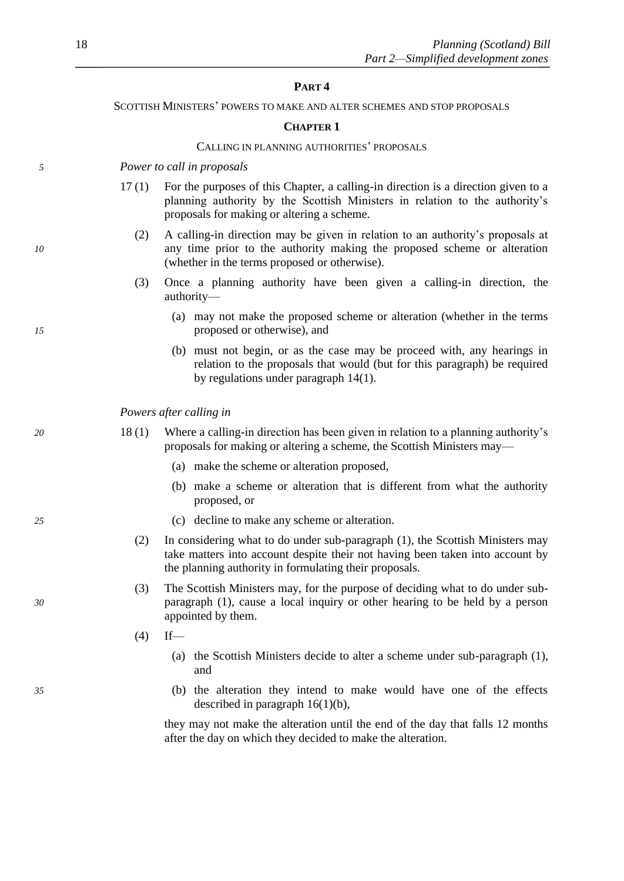#### **PART 4**

SCOTTISH MINISTERS' POWERS TO MAKE AND ALTER SCHEMES AND STOP PROPOSALS

#### **CHAPTER 1**

#### CALLING IN PLANNING AUTHORITIES' PROPOSALS

*5 Power to call in proposals*

- 17 (1) For the purposes of this Chapter, a calling-in direction is a direction given to a planning authority by the Scottish Ministers in relation to the authority's proposals for making or altering a scheme.
- (2) A calling-in direction may be given in relation to an authority's proposals at *10* any time prior to the authority making the proposed scheme or alteration (whether in the terms proposed or otherwise).
	- (3) Once a planning authority have been given a calling-in direction, the authority—
- (a) may not make the proposed scheme or alteration (whether in the terms *15* proposed or otherwise), and
	- (b) must not begin, or as the case may be proceed with, any hearings in relation to the proposals that would (but for this paragraph) be required by regulations under paragraph 14(1).

*Powers after calling in*

- *20* 18 (1) Where a calling-in direction has been given in relation to a planning authority's proposals for making or altering a scheme, the Scottish Ministers may—
	- (a) make the scheme or alteration proposed,
	- (b) make a scheme or alteration that is different from what the authority proposed, or
- *25* (c) decline to make any scheme or alteration.
	- (2) In considering what to do under sub-paragraph (1), the Scottish Ministers may take matters into account despite their not having been taken into account by the planning authority in formulating their proposals.
- (3) The Scottish Ministers may, for the purpose of deciding what to do under sub-*30* paragraph (1), cause a local inquiry or other hearing to be held by a person appointed by them.
	- $(4)$  If—
		- (a) the Scottish Ministers decide to alter a scheme under sub-paragraph (1), and
- *35* (b) the alteration they intend to make would have one of the effects described in paragraph 16(1)(b),

they may not make the alteration until the end of the day that falls 12 months after the day on which they decided to make the alteration.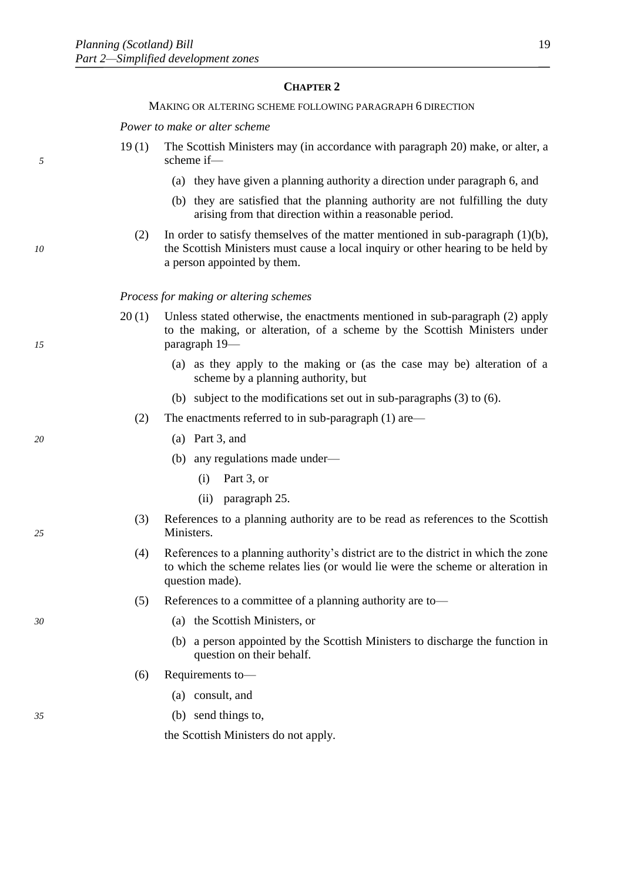# **CHAPTER 2**

### MAKING OR ALTERING SCHEME FOLLOWING PARAGRAPH 6 DIRECTION

*Power to make or alter scheme*

- 19 (1) The Scottish Ministers may (in accordance with paragraph 20) make, or alter, a *5* scheme if—
	- (a) they have given a planning authority a direction under paragraph 6, and
	- (b) they are satisfied that the planning authority are not fulfilling the duty arising from that direction within a reasonable period.
- (2) In order to satisfy themselves of the matter mentioned in sub-paragraph (1)(b), *10* the Scottish Ministers must cause a local inquiry or other hearing to be held by a person appointed by them.

#### *Process for making or altering schemes*

- 20 (1) Unless stated otherwise, the enactments mentioned in sub-paragraph (2) apply to the making, or alteration, of a scheme by the Scottish Ministers under *15* paragraph 19—
	- (a) as they apply to the making or (as the case may be) alteration of a scheme by a planning authority, but
	- (b) subject to the modifications set out in sub-paragraphs (3) to (6).
	- (2) The enactments referred to in sub-paragraph (1) are—
- *20* (a) Part 3, and
	- (b) any regulations made under—
		- (i) Part 3, or
		- (ii) paragraph 25.
- (3) References to a planning authority are to be read as references to the Scottish *25* Ministers.
	- (4) References to a planning authority's district are to the district in which the zone to which the scheme relates lies (or would lie were the scheme or alteration in question made).
	- (5) References to a committee of a planning authority are to—
- *30* (a) the Scottish Ministers, or
	- (b) a person appointed by the Scottish Ministers to discharge the function in question on their behalf.
	- (6) Requirements to—
		- (a) consult, and
- *35* (b) send things to,

the Scottish Ministers do not apply.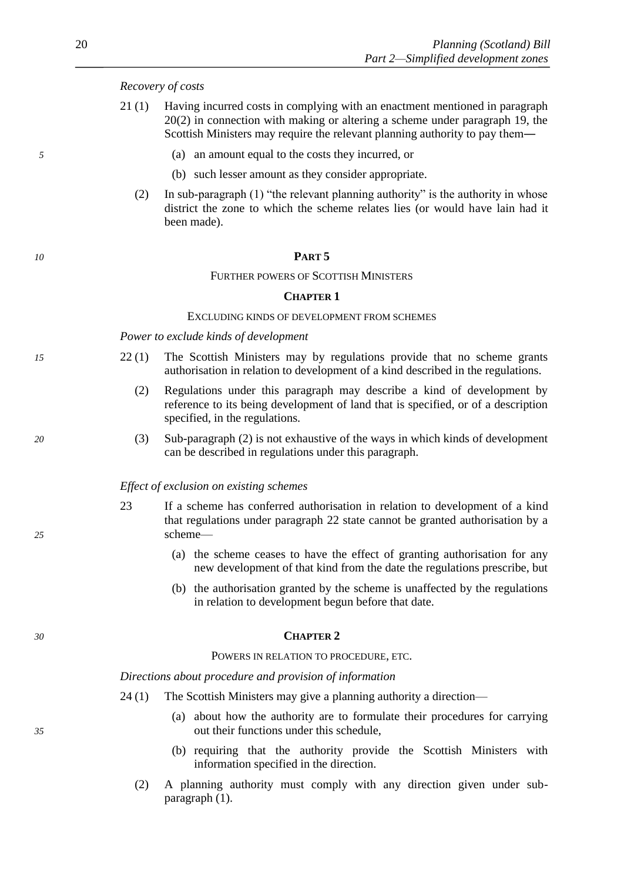# *Recovery of costs*

- 21 (1) Having incurred costs in complying with an enactment mentioned in paragraph 20(2) in connection with making or altering a scheme under paragraph 19, the Scottish Ministers may require the relevant planning authority to pay them―
- *5* (a) an amount equal to the costs they incurred, or
	- (b) such lesser amount as they consider appropriate.
	- (2) In sub-paragraph (1) "the relevant planning authority" is the authority in whose district the zone to which the scheme relates lies (or would have lain had it been made).

#### *10* **PART 5**

#### FURTHER POWERS OF SCOTTISH MINISTERS

#### **CHAPTER 1**

#### EXCLUDING KINDS OF DEVELOPMENT FROM SCHEMES

#### *Power to exclude kinds of development*

- *15* 22 (1) The Scottish Ministers may by regulations provide that no scheme grants authorisation in relation to development of a kind described in the regulations.
	- (2) Regulations under this paragraph may describe a kind of development by reference to its being development of land that is specified, or of a description specified, in the regulations.
- *20* (3) Sub-paragraph (2) is not exhaustive of the ways in which kinds of development can be described in regulations under this paragraph.

#### *Effect of exclusion on existing schemes*

- 23 If a scheme has conferred authorisation in relation to development of a kind that regulations under paragraph 22 state cannot be granted authorisation by a *25* scheme—
	- (a) the scheme ceases to have the effect of granting authorisation for any new development of that kind from the date the regulations prescribe, but
	- (b) the authorisation granted by the scheme is unaffected by the regulations in relation to development begun before that date.

#### *30* **CHAPTER 2**

#### POWERS IN RELATION TO PROCEDURE, ETC.

#### *Directions about procedure and provision of information*

- 24 (1) The Scottish Ministers may give a planning authority a direction—
- (a) about how the authority are to formulate their procedures for carrying *35* out their functions under this schedule,
	- (b) requiring that the authority provide the Scottish Ministers with information specified in the direction.
	- (2) A planning authority must comply with any direction given under subparagraph (1).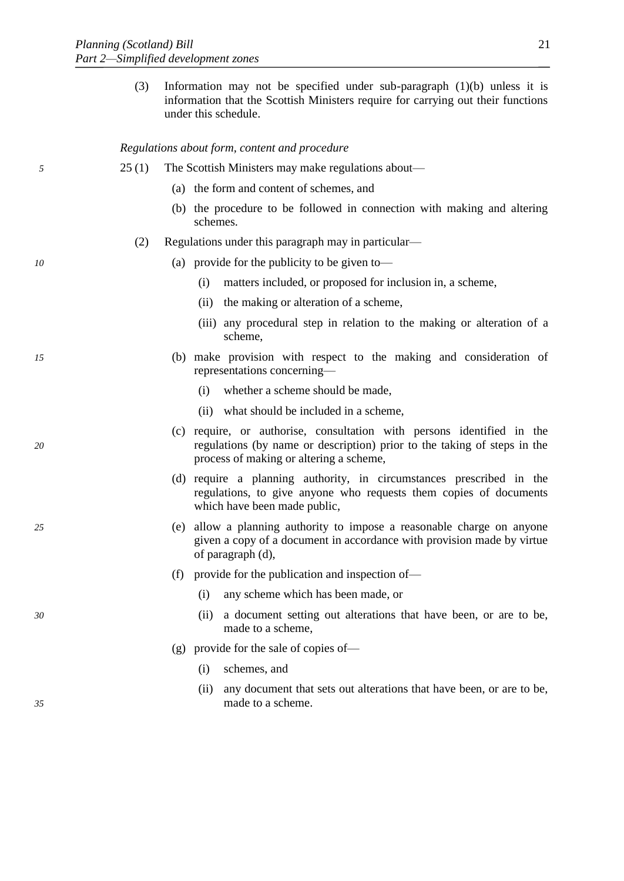(3) Information may not be specified under sub-paragraph (1)(b) unless it is information that the Scottish Ministers require for carrying out their functions under this schedule.

#### *Regulations about form, content and procedure*

- *5* 25 (1) The Scottish Ministers may make regulations about—
	- (a) the form and content of schemes, and
	- (b) the procedure to be followed in connection with making and altering schemes.
	- (2) Regulations under this paragraph may in particular—
- *10* (a) provide for the publicity to be given to—
	- (i) matters included, or proposed for inclusion in, a scheme,
	- (ii) the making or alteration of a scheme,
	- (iii) any procedural step in relation to the making or alteration of a scheme,
- *15* (b) make provision with respect to the making and consideration of representations concerning—
	- (i) whether a scheme should be made,
	- (ii) what should be included in a scheme,
- (c) require, or authorise, consultation with persons identified in the *20* regulations (by name or description) prior to the taking of steps in the process of making or altering a scheme,
	- (d) require a planning authority, in circumstances prescribed in the regulations, to give anyone who requests them copies of documents which have been made public,
- *25* (e) allow a planning authority to impose a reasonable charge on anyone given a copy of a document in accordance with provision made by virtue of paragraph (d),
	- (f) provide for the publication and inspection of—
		- (i) any scheme which has been made, or
- *30* (ii) a document setting out alterations that have been, or are to be, made to a scheme,
	- (g) provide for the sale of copies of—
		- (i) schemes, and
- (ii) any document that sets out alterations that have been, or are to be, *35* made to a scheme.
- 
- 
-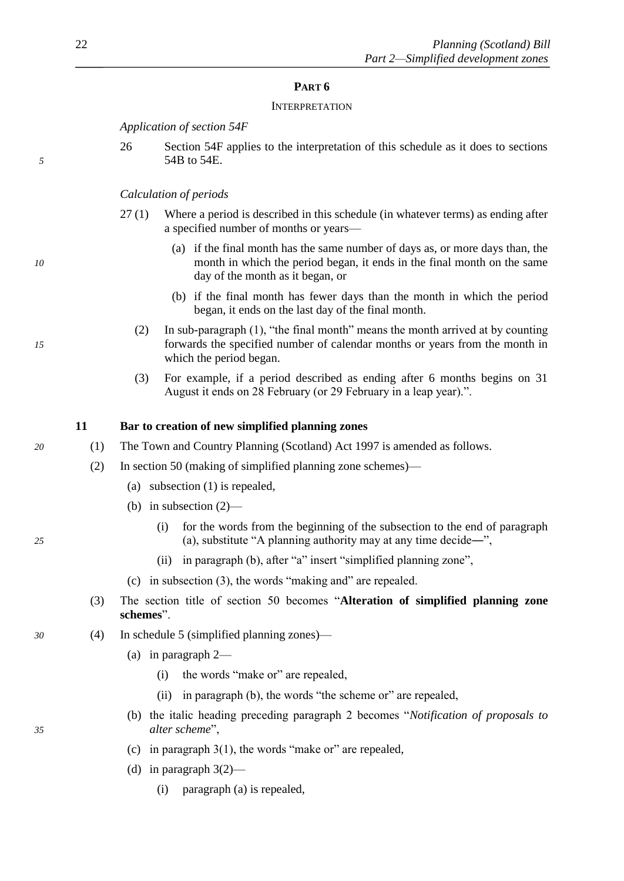# **PART 6**

## **INTERPRETATION**

*Application of section 54F*

26 Section 54F applies to the interpretation of this schedule as it does to sections *5* 54B to 54E.

# *Calculation of periods*

- 27 (1) Where a period is described in this schedule (in whatever terms) as ending after a specified number of months or years—
- (a) if the final month has the same number of days as, or more days than, the *10* month in which the period began, it ends in the final month on the same day of the month as it began, or
	- (b) if the final month has fewer days than the month in which the period began, it ends on the last day of the final month.
- (2) In sub-paragraph (1), "the final month" means the month arrived at by counting *15* forwards the specified number of calendar months or years from the month in which the period began.
	- (3) For example, if a period described as ending after 6 months begins on 31 August it ends on 28 February (or 29 February in a leap year).".

# **11 Bar to creation of new simplified planning zones**

- *20* (1) The Town and Country Planning (Scotland) Act 1997 is amended as follows.
	- (2) In section 50 (making of simplified planning zone schemes)—
		- (a) subsection (1) is repealed,
		- (b) in subsection (2)—
- (i) for the words from the beginning of the subsection to the end of paragraph *25* (a), substitute "A planning authority may at any time decide―",
	- (ii) in paragraph (b), after "a" insert "simplified planning zone",
	- (c) in subsection (3), the words "making and" are repealed.
	- (3) The section title of section 50 becomes "**Alteration of simplified planning zone schemes**".
- *30* (4) In schedule 5 (simplified planning zones)—
	- (a) in paragraph 2—
		- (i) the words "make or" are repealed,
		- (ii) in paragraph (b), the words "the scheme or" are repealed,
- (b) the italic heading preceding paragraph 2 becomes "*Notification of proposals to 35 alter scheme*",
	- (c) in paragraph  $3(1)$ , the words "make or" are repealed,
	- (d) in paragraph  $3(2)$ 
		- (i) paragraph (a) is repealed,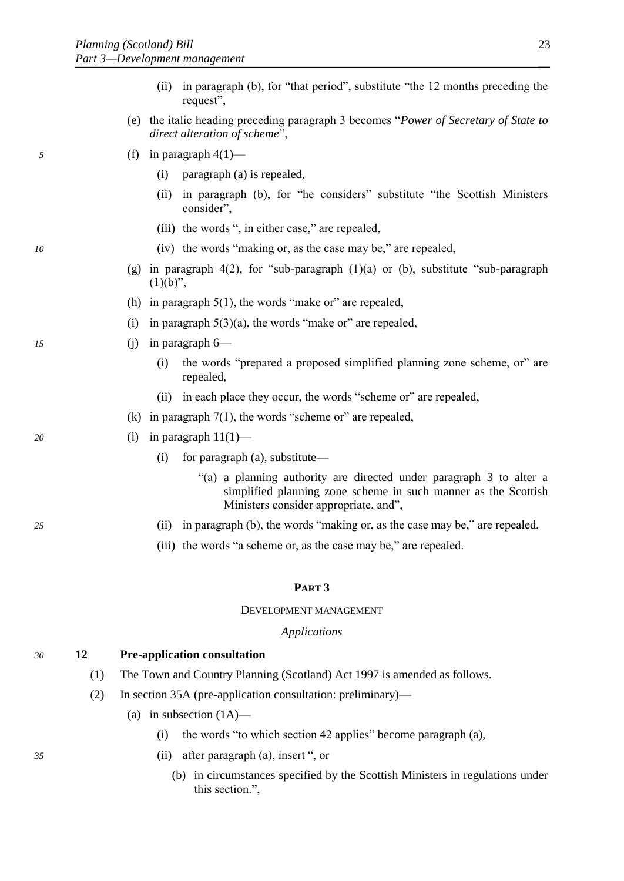- (ii) in paragraph (b), for "that period", substitute "the 12 months preceding the request",
- (e) the italic heading preceding paragraph 3 becomes "*Power of Secretary of State to direct alteration of scheme*",
- *5* (f) in paragraph 4(1)—
	- (i) paragraph (a) is repealed,
	- (ii) in paragraph (b), for "he considers" substitute "the Scottish Ministers consider",
	- (iii) the words ", in either case," are repealed,
- *10* (iv) the words "making or, as the case may be," are repealed,
	- (g) in paragraph 4(2), for "sub-paragraph  $(1)(a)$  or  $(b)$ , substitute "sub-paragraph  $(1)(b)$ ",
	- (h) in paragraph  $5(1)$ , the words "make or" are repealed,
	- (i) in paragraph  $5(3)(a)$ , the words "make or" are repealed,
- *15* (j) in paragraph 6—
	- (i) the words "prepared a proposed simplified planning zone scheme, or" are repealed,
	- (ii) in each place they occur, the words "scheme or" are repealed,
	- (k) in paragraph  $7(1)$ , the words "scheme or" are repealed,
- *20* (l) in paragraph 11(1)—
	- (i) for paragraph (a), substitute—
		- "(a) a planning authority are directed under paragraph 3 to alter a simplified planning zone scheme in such manner as the Scottish Ministers consider appropriate, and",
- *25* (ii) in paragraph (b), the words "making or, as the case may be," are repealed,
	- (iii) the words "a scheme or, as the case may be," are repealed.

#### **PART 3**

#### DEVELOPMENT MANAGEMENT

#### *Applications*

#### *30* **12 Pre-application consultation**

- (1) The Town and Country Planning (Scotland) Act 1997 is amended as follows.
- (2) In section 35A (pre-application consultation: preliminary)—
	- (a) in subsection  $(1A)$ 
		- (i) the words "to which section 42 applies" become paragraph (a),
- *35* (ii) after paragraph (a), insert ", or
	- (b) in circumstances specified by the Scottish Ministers in regulations under this section.",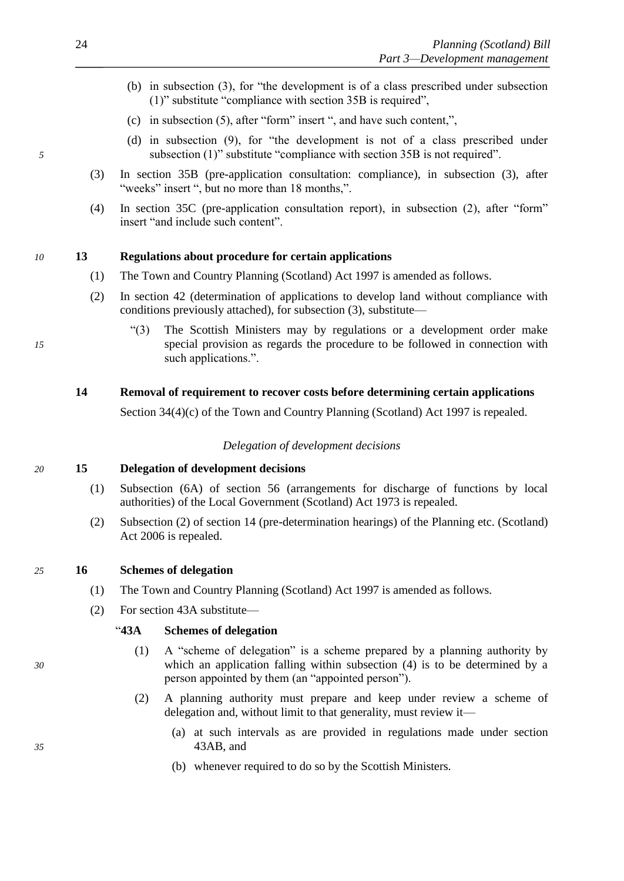- (b) in subsection (3), for "the development is of a class prescribed under subsection (1)" substitute "compliance with section 35B is required",
- (c) in subsection (5), after "form" insert ", and have such content,",
- (d) in subsection (9), for "the development is not of a class prescribed under *5* subsection (1)" substitute "compliance with section 35B is not required".
	- (3) In section 35B (pre-application consultation: compliance), in subsection (3), after "weeks" insert ", but no more than 18 months,".
	- (4) In section 35C (pre-application consultation report), in subsection (2), after "form" insert "and include such content".

# *10* **13 Regulations about procedure for certain applications**

- (1) The Town and Country Planning (Scotland) Act 1997 is amended as follows.
- (2) In section 42 (determination of applications to develop land without compliance with conditions previously attached), for subsection (3), substitute—
- "(3) The Scottish Ministers may by regulations or a development order make *15* special provision as regards the procedure to be followed in connection with such applications.".

# **14 Removal of requirement to recover costs before determining certain applications**

Section 34(4)(c) of the Town and Country Planning (Scotland) Act 1997 is repealed.

#### *Delegation of development decisions*

*20* **15 Delegation of development decisions**

- (1) Subsection (6A) of section 56 (arrangements for discharge of functions by local authorities) of the Local Government (Scotland) Act 1973 is repealed.
- (2) Subsection (2) of section 14 (pre-determination hearings) of the Planning etc. (Scotland) Act 2006 is repealed.
- *25* **16 Schemes of delegation**
	- (1) The Town and Country Planning (Scotland) Act 1997 is amended as follows.
	- (2) For section 43A substitute—

# "**43A Schemes of delegation**

- (1) A "scheme of delegation" is a scheme prepared by a planning authority by *30* which an application falling within subsection (4) is to be determined by a person appointed by them (an "appointed person").
	- (2) A planning authority must prepare and keep under review a scheme of delegation and, without limit to that generality, must review it—
- (a) at such intervals as are provided in regulations made under section *35* 43AB, and
	- (b) whenever required to do so by the Scottish Ministers.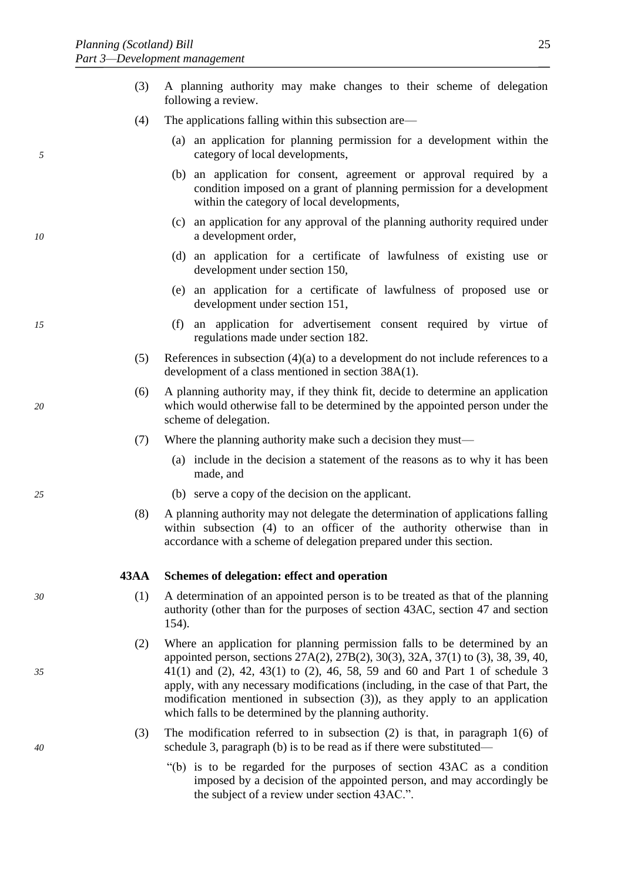- (3) A planning authority may make changes to their scheme of delegation following a review.
- (4) The applications falling within this subsection are—
- (a) an application for planning permission for a development within the *5* category of local developments,
	- (b) an application for consent, agreement or approval required by a condition imposed on a grant of planning permission for a development within the category of local developments,
- (c) an application for any approval of the planning authority required under *10* a development order,
	- (d) an application for a certificate of lawfulness of existing use or development under section 150,
	- (e) an application for a certificate of lawfulness of proposed use or development under section 151,
- *15* (f) an application for advertisement consent required by virtue of regulations made under section 182.
	- (5) References in subsection (4)(a) to a development do not include references to a development of a class mentioned in section 38A(1).
- (6) A planning authority may, if they think fit, decide to determine an application *20* which would otherwise fall to be determined by the appointed person under the scheme of delegation.
	- (7) Where the planning authority make such a decision they must—
		- (a) include in the decision a statement of the reasons as to why it has been made, and
- *25* (b) serve a copy of the decision on the applicant.
	- (8) A planning authority may not delegate the determination of applications falling within subsection (4) to an officer of the authority otherwise than in accordance with a scheme of delegation prepared under this section.

#### **43AA Schemes of delegation: effect and operation**

- *30* (1) A determination of an appointed person is to be treated as that of the planning authority (other than for the purposes of section 43AC, section 47 and section 154).
- (2) Where an application for planning permission falls to be determined by an appointed person, sections 27A(2), 27B(2), 30(3), 32A, 37(1) to (3), 38, 39, 40, *35* 41(1) and (2), 42, 43(1) to (2), 46, 58, 59 and 60 and Part 1 of schedule 3 apply, with any necessary modifications (including, in the case of that Part, the modification mentioned in subsection (3)), as they apply to an application which falls to be determined by the planning authority.
- (3) The modification referred to in subsection (2) is that, in paragraph 1(6) of *40* schedule 3, paragraph (b) is to be read as if there were substituted—
	- "(b) is to be regarded for the purposes of section 43AC as a condition imposed by a decision of the appointed person, and may accordingly be the subject of a review under section 43AC.".

- 
-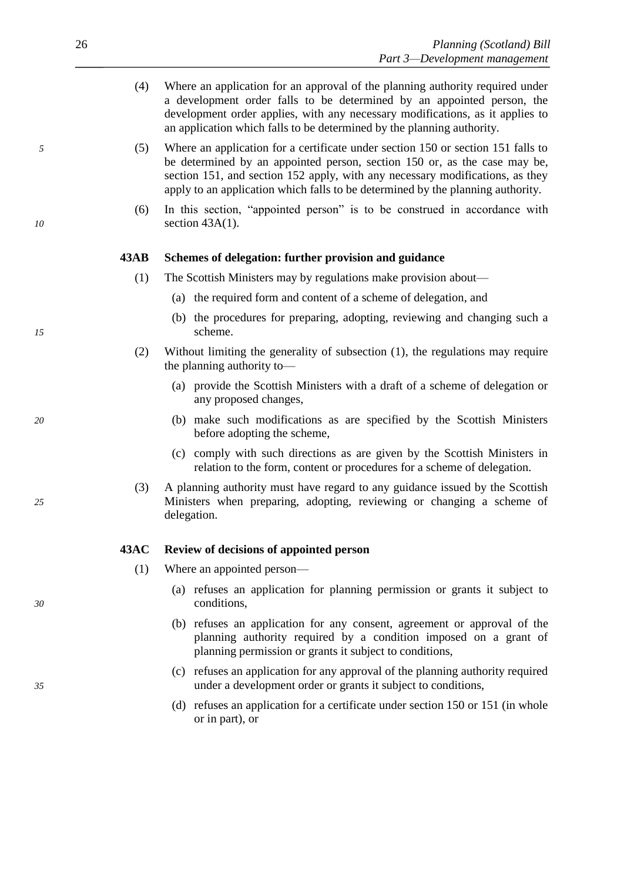- (4) Where an application for an approval of the planning authority required under a development order falls to be determined by an appointed person, the development order applies, with any necessary modifications, as it applies to an application which falls to be determined by the planning authority.
- *5* (5) Where an application for a certificate under section 150 or section 151 falls to be determined by an appointed person, section 150 or, as the case may be, section 151, and section 152 apply, with any necessary modifications, as they apply to an application which falls to be determined by the planning authority.
- (6) In this section, "appointed person" is to be construed in accordance with *10* section 43A(1).

#### **43AB Schemes of delegation: further provision and guidance**

- (1) The Scottish Ministers may by regulations make provision about—
	- (a) the required form and content of a scheme of delegation, and
- (b) the procedures for preparing, adopting, reviewing and changing such a *15* scheme.
	- (2) Without limiting the generality of subsection (1), the regulations may require the planning authority to—
		- (a) provide the Scottish Ministers with a draft of a scheme of delegation or any proposed changes,
- *20* (b) make such modifications as are specified by the Scottish Ministers before adopting the scheme,
	- (c) comply with such directions as are given by the Scottish Ministers in relation to the form, content or procedures for a scheme of delegation.
- (3) A planning authority must have regard to any guidance issued by the Scottish *25* Ministers when preparing, adopting, reviewing or changing a scheme of delegation.

# **43AC Review of decisions of appointed person**

- (1) Where an appointed person—
- (a) refuses an application for planning permission or grants it subject to *30* conditions,
	- (b) refuses an application for any consent, agreement or approval of the planning authority required by a condition imposed on a grant of planning permission or grants it subject to conditions,
- (c) refuses an application for any approval of the planning authority required *35* under a development order or grants it subject to conditions,
	- (d) refuses an application for a certificate under section 150 or 151 (in whole or in part), or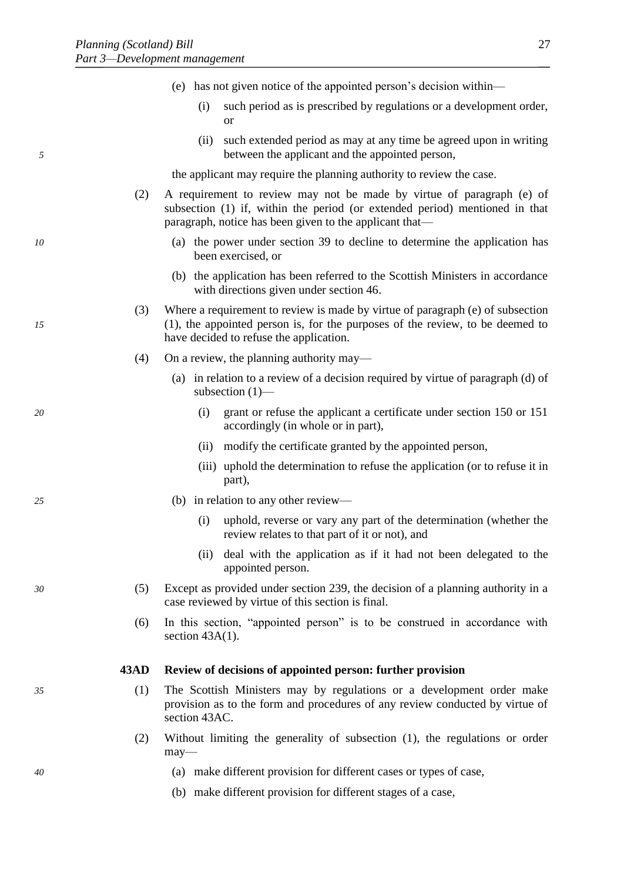|    |      | (e) has not given notice of the appointed person's decision within—                                                                                                                                             |
|----|------|-----------------------------------------------------------------------------------------------------------------------------------------------------------------------------------------------------------------|
|    |      | such period as is prescribed by regulations or a development order,<br>(i)<br><b>or</b>                                                                                                                         |
| 5  |      | such extended period as may at any time be agreed upon in writing<br>(ii)<br>between the applicant and the appointed person,                                                                                    |
|    |      | the applicant may require the planning authority to review the case.                                                                                                                                            |
|    | (2)  | A requirement to review may not be made by virtue of paragraph (e) of<br>subsection (1) if, within the period (or extended period) mentioned in that<br>paragraph, notice has been given to the applicant that— |
| 10 |      | (a) the power under section 39 to decline to determine the application has<br>been exercised, or                                                                                                                |
|    |      | (b) the application has been referred to the Scottish Ministers in accordance<br>with directions given under section 46.                                                                                        |
| 15 | (3)  | Where a requirement to review is made by virtue of paragraph (e) of subsection<br>(1), the appointed person is, for the purposes of the review, to be deemed to<br>have decided to refuse the application.      |
|    | (4)  | On a review, the planning authority may—                                                                                                                                                                        |
|    |      | (a) in relation to a review of a decision required by virtue of paragraph (d) of<br>subsection $(1)$ —                                                                                                          |
| 20 |      | grant or refuse the applicant a certificate under section 150 or 151<br>(i)<br>accordingly (in whole or in part),                                                                                               |
|    |      | modify the certificate granted by the appointed person,<br>(ii)                                                                                                                                                 |
|    |      | (iii) uphold the determination to refuse the application (or to refuse it in<br>part),                                                                                                                          |
| 25 |      | (b) in relation to any other review—                                                                                                                                                                            |
|    |      | uphold, reverse or vary any part of the determination (whether the<br>(i)<br>review relates to that part of it or not), and                                                                                     |
|    |      | deal with the application as if it had not been delegated to the<br>(ii)<br>appointed person.                                                                                                                   |
| 30 | (5)  | Except as provided under section 239, the decision of a planning authority in a<br>case reviewed by virtue of this section is final.                                                                            |
|    | (6)  | In this section, "appointed person" is to be construed in accordance with<br>section $43A(1)$ .                                                                                                                 |
|    | 43AD | Review of decisions of appointed person: further provision                                                                                                                                                      |
| 35 | (1)  | The Scottish Ministers may by regulations or a development order make<br>provision as to the form and procedures of any review conducted by virtue of<br>section 43AC.                                          |
|    | (2)  | Without limiting the generality of subsection (1), the regulations or order<br>$may$ —                                                                                                                          |
| 40 |      | (a) make different provision for different cases or types of case,                                                                                                                                              |
|    |      | (b) make different provision for different stages of a case,                                                                                                                                                    |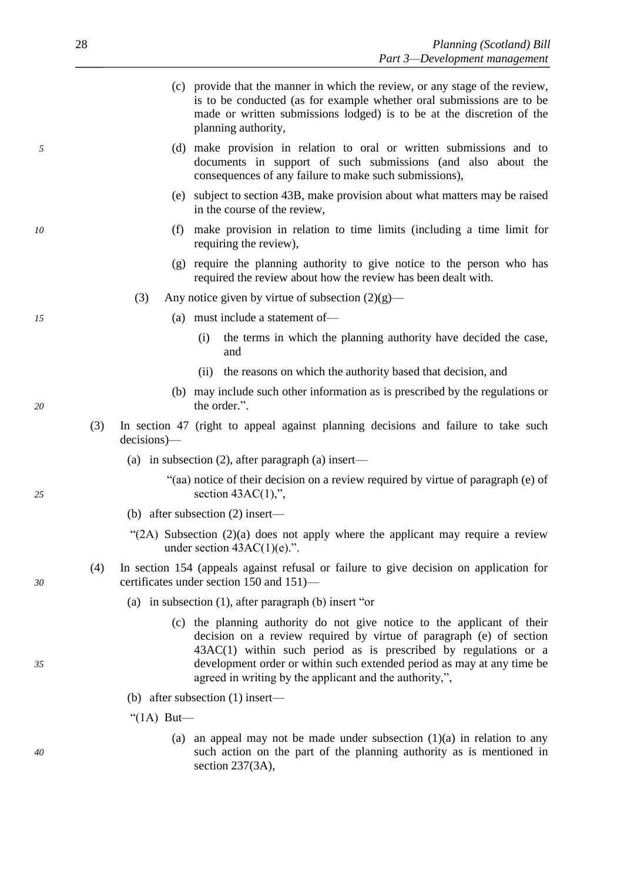- (c) provide that the manner in which the review, or any stage of the review, is to be conducted (as for example whether oral submissions are to be made or written submissions lodged) is to be at the discretion of the planning authority,
- *5* (d) make provision in relation to oral or written submissions and to documents in support of such submissions (and also about the consequences of any failure to make such submissions),
	- (e) subject to section 43B, make provision about what matters may be raised in the course of the review,
- *10* (f) make provision in relation to time limits (including a time limit for requiring the review),
	- (g) require the planning authority to give notice to the person who has required the review about how the review has been dealt with.
	- (3) Any notice given by virtue of subsection  $(2)(g)$ —
- *15* (a) must include a statement of—
	- (i) the terms in which the planning authority have decided the case, and
	- (ii) the reasons on which the authority based that decision, and
- (b) may include such other information as is prescribed by the regulations or *20* the order.".
	- (3) In section 47 (right to appeal against planning decisions and failure to take such decisions)—
		- (a) in subsection (2), after paragraph (a) insert—
- "(aa) notice of their decision on a review required by virtue of paragraph (e) of *25* section 43AC(1),",
	- (b) after subsection (2) insert—
	- "(2A) Subsection  $(2)(a)$  does not apply where the applicant may require a review under section  $43AC(1)(e)$ .".
- (4) In section 154 (appeals against refusal or failure to give decision on application for *30* certificates under section 150 and 151)—
	- (a) in subsection (1), after paragraph (b) insert "or
- (c) the planning authority do not give notice to the applicant of their decision on a review required by virtue of paragraph (e) of section 43AC(1) within such period as is prescribed by regulations or a *35* development order or within such extended period as may at any time be agreed in writing by the applicant and the authority,",
	- (b) after subsection (1) insert—

" $(1A)$  But—

(a) an appeal may not be made under subsection  $(1)(a)$  in relation to any *40* such action on the part of the planning authority as is mentioned in section 237(3A),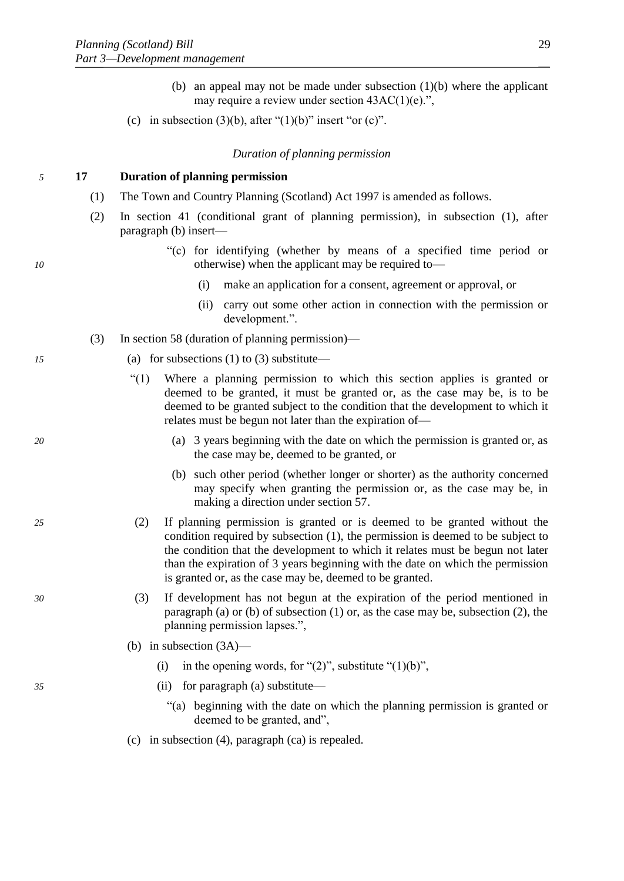- (b) an appeal may not be made under subsection (1)(b) where the applicant may require a review under section 43AC(1)(e).",
- (c) in subsection (3)(b), after " $(1)(b)$ " insert "or (c)".

# *Duration of planning permission*

# *5* **17 Duration of planning permission**

- (1) The Town and Country Planning (Scotland) Act 1997 is amended as follows.
- (2) In section 41 (conditional grant of planning permission), in subsection (1), after paragraph (b) insert—
- "(c) for identifying (whether by means of a specified time period or *10* otherwise) when the applicant may be required to—
	- (i) make an application for a consent, agreement or approval, or
	- (ii) carry out some other action in connection with the permission or development.".
	- (3) In section 58 (duration of planning permission)—
- *15* (a) for subsections (1) to (3) substitute—
	- "(1) Where a planning permission to which this section applies is granted or deemed to be granted, it must be granted or, as the case may be, is to be deemed to be granted subject to the condition that the development to which it relates must be begun not later than the expiration of—
- *20* (a) 3 years beginning with the date on which the permission is granted or, as the case may be, deemed to be granted, or
	- (b) such other period (whether longer or shorter) as the authority concerned may specify when granting the permission or, as the case may be, in making a direction under section 57.
- *25* (2) If planning permission is granted or is deemed to be granted without the condition required by subsection (1), the permission is deemed to be subject to the condition that the development to which it relates must be begun not later than the expiration of 3 years beginning with the date on which the permission is granted or, as the case may be, deemed to be granted.
- *30* (3) If development has not begun at the expiration of the period mentioned in paragraph (a) or (b) of subsection (1) or, as the case may be, subsection (2), the planning permission lapses.",
	- (b) in subsection (3A)—
		- (i) in the opening words, for " $(2)$ ", substitute " $(1)(b)$ ",
- *35* (ii) for paragraph (a) substitute—
	- "(a) beginning with the date on which the planning permission is granted or deemed to be granted, and",
	- (c) in subsection (4), paragraph (ca) is repealed.

- 
-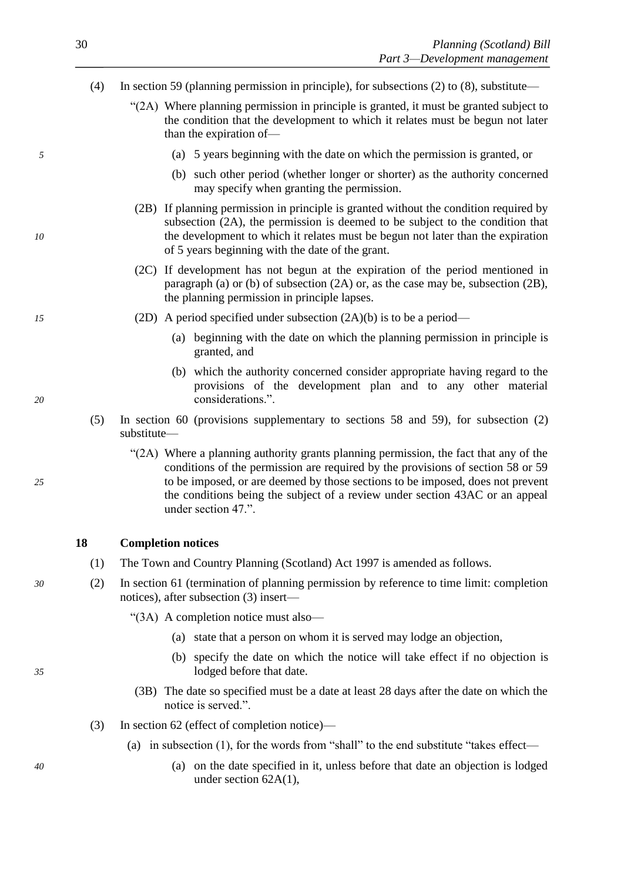- (4) In section 59 (planning permission in principle), for subsections (2) to (8), substitute—
	- "(2A) Where planning permission in principle is granted, it must be granted subject to the condition that the development to which it relates must be begun not later than the expiration of—
- *5* (a) 5 years beginning with the date on which the permission is granted, or
	- (b) such other period (whether longer or shorter) as the authority concerned may specify when granting the permission.
- (2B) If planning permission in principle is granted without the condition required by subsection (2A), the permission is deemed to be subject to the condition that *10* the development to which it relates must be begun not later than the expiration of 5 years beginning with the date of the grant.
	- (2C) If development has not begun at the expiration of the period mentioned in paragraph (a) or (b) of subsection (2A) or, as the case may be, subsection (2B), the planning permission in principle lapses.
- *15* (2D) A period specified under subsection (2A)(b) is to be a period—
	- (a) beginning with the date on which the planning permission in principle is granted, and
- (b) which the authority concerned consider appropriate having regard to the provisions of the development plan and to any other material *20* considerations.".
	- (5) In section 60 (provisions supplementary to sections 58 and 59), for subsection (2) substitute—
- "(2A) Where a planning authority grants planning permission, the fact that any of the conditions of the permission are required by the provisions of section 58 or 59 *25* to be imposed, or are deemed by those sections to be imposed, does not prevent the conditions being the subject of a review under section 43AC or an appeal under section 47.".

# **18 Completion notices**

- (1) The Town and Country Planning (Scotland) Act 1997 is amended as follows.
- *30* (2) In section 61 (termination of planning permission by reference to time limit: completion notices), after subsection (3) insert—

"(3A) A completion notice must also—

- (a) state that a person on whom it is served may lodge an objection,
- (b) specify the date on which the notice will take effect if no objection is *35* lodged before that date.
	- (3B) The date so specified must be a date at least 28 days after the date on which the notice is served.".
	- (3) In section 62 (effect of completion notice)—
		- (a) in subsection (1), for the words from "shall" to the end substitute "takes effect—
- *40* (a) on the date specified in it, unless before that date an objection is lodged under section 62A(1),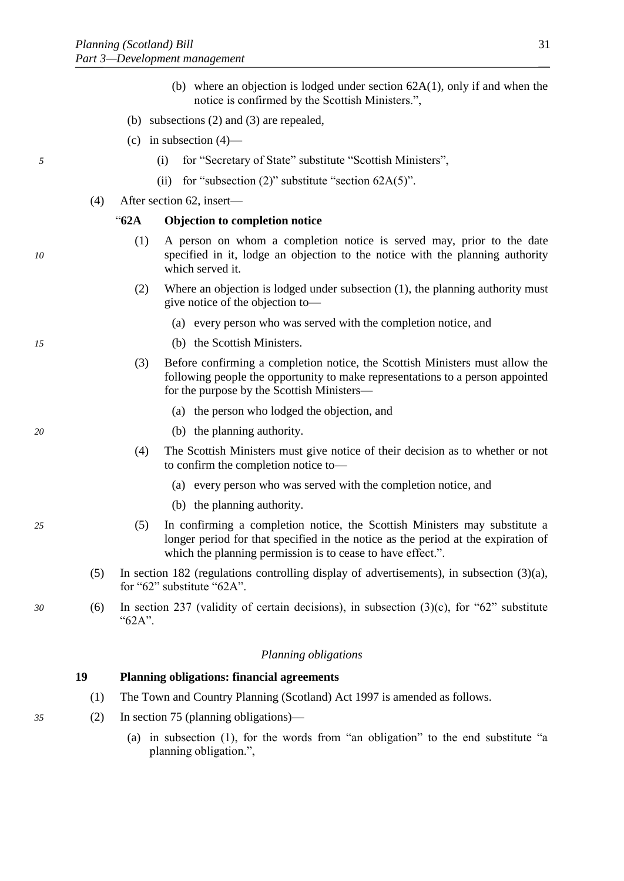- (b) where an objection is lodged under section 62A(1), only if and when the notice is confirmed by the Scottish Ministers.",
- (b) subsections (2) and (3) are repealed,
- (c) in subsection  $(4)$ —
- *5* (i) for "Secretary of State" substitute "Scottish Ministers",
	- (ii) for "subsection  $(2)$ " substitute "section  $62A(5)$ ".
	- (4) After section 62, insert—

# "**62A Objection to completion notice**

- (1) A person on whom a completion notice is served may, prior to the date *10* specified in it, lodge an objection to the notice with the planning authority which served it.
	- (2) Where an objection is lodged under subsection (1), the planning authority must give notice of the objection to—
		- (a) every person who was served with the completion notice, and
- *15* (b) the Scottish Ministers.
	- (3) Before confirming a completion notice, the Scottish Ministers must allow the following people the opportunity to make representations to a person appointed for the purpose by the Scottish Ministers—
		- (a) the person who lodged the objection, and
- *20* (b) the planning authority.
	- (4) The Scottish Ministers must give notice of their decision as to whether or not to confirm the completion notice to—
		- (a) every person who was served with the completion notice, and
		- (b) the planning authority.
- *25* (5) In confirming a completion notice, the Scottish Ministers may substitute a longer period for that specified in the notice as the period at the expiration of which the planning permission is to cease to have effect.".
	- (5) In section 182 (regulations controlling display of advertisements), in subsection (3)(a), for "62" substitute "62A".
- *30* (6) In section 237 (validity of certain decisions), in subsection (3)(c), for "62" substitute "62A".

#### *Planning obligations*

# **19 Planning obligations: financial agreements**

- (1) The Town and Country Planning (Scotland) Act 1997 is amended as follows.
- *35* (2) In section 75 (planning obligations)—
	- (a) in subsection (1), for the words from "an obligation" to the end substitute "a planning obligation.",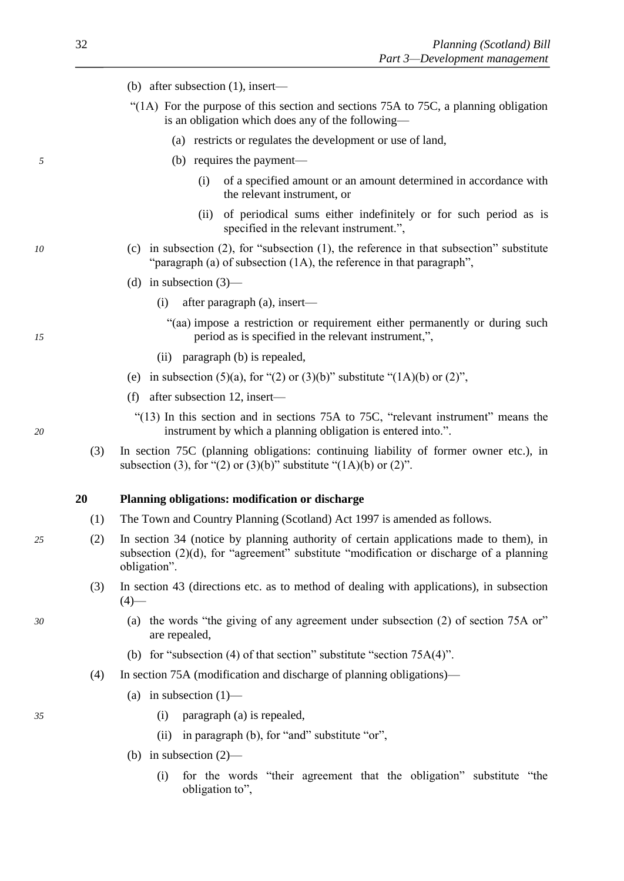- (b) after subsection (1), insert—
- "(1A) For the purpose of this section and sections 75A to 75C, a planning obligation is an obligation which does any of the following—
	- (a) restricts or regulates the development or use of land,
- *5* (b) requires the payment—
	- (i) of a specified amount or an amount determined in accordance with the relevant instrument, or
	- (ii) of periodical sums either indefinitely or for such period as is specified in the relevant instrument.",
- *10* (c) in subsection (2), for "subsection (1), the reference in that subsection" substitute "paragraph (a) of subsection (1A), the reference in that paragraph",
	- (d) in subsection  $(3)$ 
		- (i) after paragraph (a), insert—
- "(aa) impose a restriction or requirement either permanently or during such *15* period as is specified in the relevant instrument,",
	- (ii) paragraph (b) is repealed,
	- (e) in subsection (5)(a), for "(2) or (3)(b)" substitute " $(1A)(b)$  or (2)",
	- (f) after subsection 12, insert—
- "(13) In this section and in sections 75A to 75C, "relevant instrument" means the *20* instrument by which a planning obligation is entered into.".
	- (3) In section 75C (planning obligations: continuing liability of former owner etc.), in subsection (3), for "(2) or (3)(b)" substitute " $(1A)(b)$  or (2)".

# **20 Planning obligations: modification or discharge**

- (1) The Town and Country Planning (Scotland) Act 1997 is amended as follows.
- *25* (2) In section 34 (notice by planning authority of certain applications made to them), in subsection (2)(d), for "agreement" substitute "modification or discharge of a planning obligation".
	- (3) In section 43 (directions etc. as to method of dealing with applications), in subsection  $(4)$ —
- *30* (a) the words "the giving of any agreement under subsection (2) of section 75A or" are repealed,
	- (b) for "subsection (4) of that section" substitute "section 75A(4)".
	- (4) In section 75A (modification and discharge of planning obligations)—
		- (a) in subsection  $(1)$ —
- *35* (i) paragraph (a) is repealed,
	- (ii) in paragraph (b), for "and" substitute "or",
	- (b) in subsection (2)—
		- (i) for the words "their agreement that the obligation" substitute "the obligation to",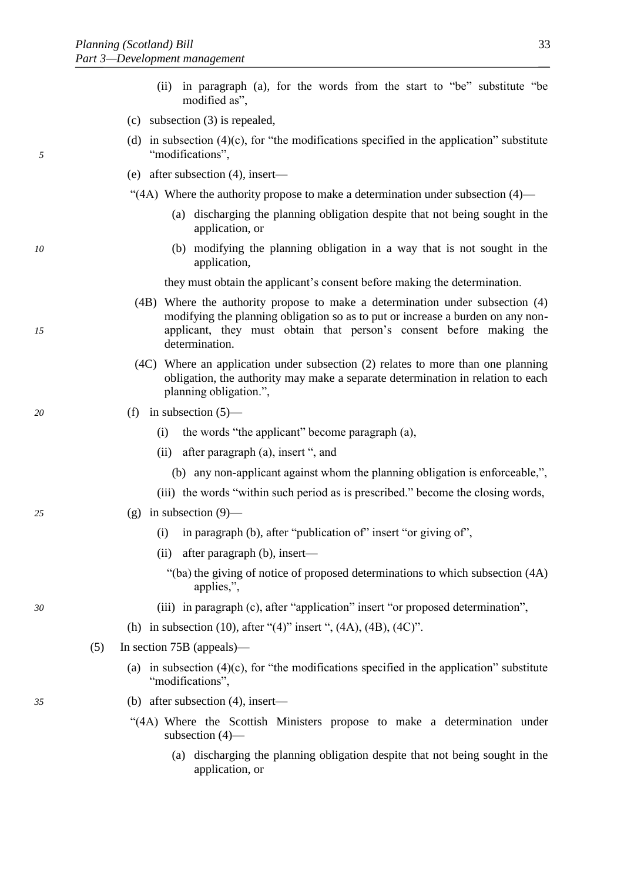- (ii) in paragraph (a), for the words from the start to "be" substitute "be modified as",
- (c) subsection (3) is repealed,
- (d) in subsection  $(4)(c)$ , for "the modifications specified in the application" substitute *5* "modifications",
	- (e) after subsection (4), insert—
	- "(4A) Where the authority propose to make a determination under subsection  $(4)$ 
		- (a) discharging the planning obligation despite that not being sought in the application, or
- *10* (b) modifying the planning obligation in a way that is not sought in the application,

they must obtain the applicant's consent before making the determination.

- (4B) Where the authority propose to make a determination under subsection (4) modifying the planning obligation so as to put or increase a burden on any non-*15* applicant, they must obtain that person's consent before making the determination.
	- (4C) Where an application under subsection (2) relates to more than one planning obligation, the authority may make a separate determination in relation to each planning obligation.",

# *20* (f) in subsection (5)—

- (i) the words "the applicant" become paragraph (a),
- (ii) after paragraph (a), insert ", and
	- (b) any non-applicant against whom the planning obligation is enforceable,",
- (iii) the words "within such period as is prescribed." become the closing words,

# *25* (g) in subsection (9)—

- (i) in paragraph (b), after "publication of" insert "or giving of",
- (ii) after paragraph (b), insert—
	- "(ba) the giving of notice of proposed determinations to which subsection (4A) applies,",
- *30* (iii) in paragraph (c), after "application" insert "or proposed determination",
	- (h) in subsection (10), after "(4)" insert ", (4A), (4B), (4C)".
	- (5) In section 75B (appeals)—
		- (a) in subsection  $(4)(c)$ , for "the modifications specified in the application" substitute "modifications",
- *35* (b) after subsection (4), insert—
	- "(4A) Where the Scottish Ministers propose to make a determination under subsection (4)—
		- (a) discharging the planning obligation despite that not being sought in the application, or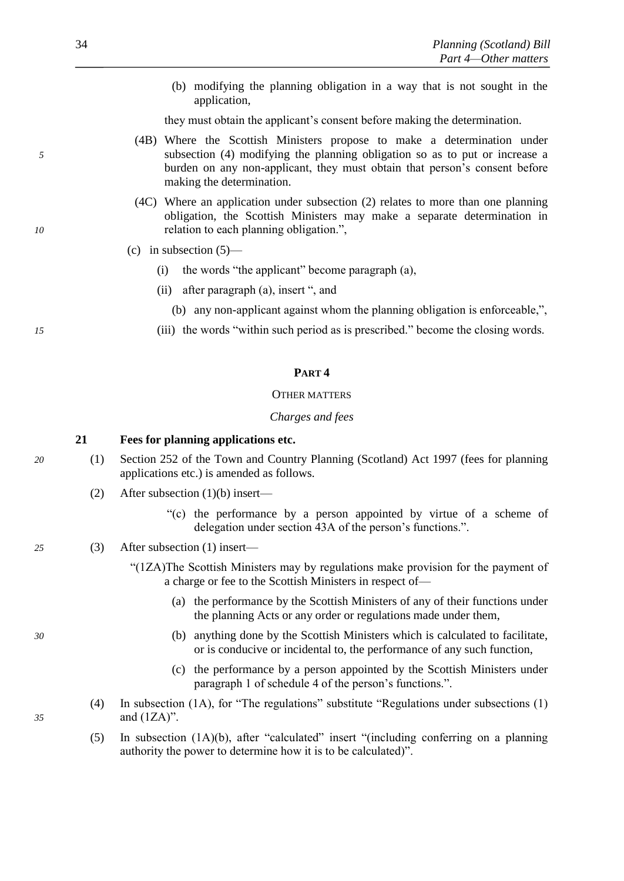(b) modifying the planning obligation in a way that is not sought in the application,

they must obtain the applicant's consent before making the determination.

- (4B) Where the Scottish Ministers propose to make a determination under *5* subsection (4) modifying the planning obligation so as to put or increase a burden on any non-applicant, they must obtain that person's consent before making the determination.
- (4C) Where an application under subsection (2) relates to more than one planning obligation, the Scottish Ministers may make a separate determination in *10* relation to each planning obligation.",
	- (c) in subsection  $(5)$ 
		- (i) the words "the applicant" become paragraph (a),
		- (ii) after paragraph (a), insert ", and
			- (b) any non-applicant against whom the planning obligation is enforceable,",
- *15* (iii) the words "within such period as is prescribed." become the closing words.

#### **PART 4**

#### OTHER MATTERS

#### *Charges and fees*

#### **21 Fees for planning applications etc.**

- *20* (1) Section 252 of the Town and Country Planning (Scotland) Act 1997 (fees for planning applications etc.) is amended as follows.
	- (2) After subsection (1)(b) insert—
		- "(c) the performance by a person appointed by virtue of a scheme of delegation under section 43A of the person's functions.".
- *25* (3) After subsection (1) insert—
	- "(1ZA)The Scottish Ministers may by regulations make provision for the payment of a charge or fee to the Scottish Ministers in respect of—
		- (a) the performance by the Scottish Ministers of any of their functions under the planning Acts or any order or regulations made under them,
- *30* (b) anything done by the Scottish Ministers which is calculated to facilitate, or is conducive or incidental to, the performance of any such function,
	- (c) the performance by a person appointed by the Scottish Ministers under paragraph 1 of schedule 4 of the person's functions.".
- (4) In subsection (1A), for "The regulations" substitute "Regulations under subsections (1) *35* and (1ZA)".
	- (5) In subsection (1A)(b), after "calculated" insert "(including conferring on a planning authority the power to determine how it is to be calculated)".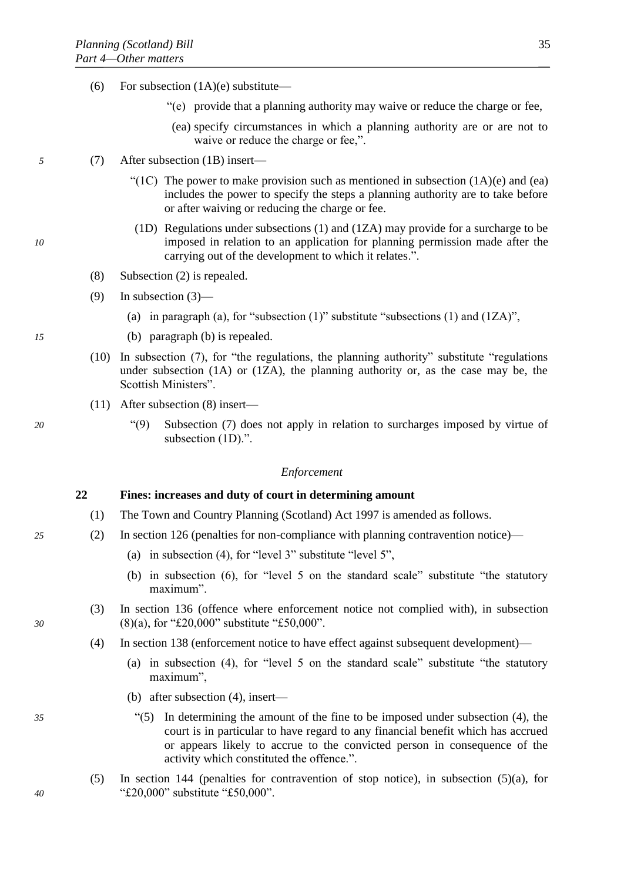- (6) For subsection  $(1A)(e)$  substitute—
	- "(e) provide that a planning authority may waive or reduce the charge or fee,
	- (ea) specify circumstances in which a planning authority are or are not to waive or reduce the charge or fee,".
- *5* (7) After subsection (1B) insert—
	- "(1C) The power to make provision such as mentioned in subsection  $(1A)(e)$  and (ea) includes the power to specify the steps a planning authority are to take before or after waiving or reducing the charge or fee.
- (1D) Regulations under subsections (1) and (1ZA) may provide for a surcharge to be *10* imposed in relation to an application for planning permission made after the carrying out of the development to which it relates.".
	- (8) Subsection (2) is repealed.
	- (9) In subsection (3)—
		- (a) in paragraph (a), for "subsection  $(1)$ " substitute "subsections  $(1)$  and  $(1ZA)$ ",
- *15* (b) paragraph (b) is repealed.
	- (10) In subsection (7), for "the regulations, the planning authority" substitute "regulations under subsection (1A) or (1ZA), the planning authority or, as the case may be, the Scottish Ministers".
	- (11) After subsection (8) insert—
- *20* "(9) Subsection (7) does not apply in relation to surcharges imposed by virtue of subsection (1D).".

#### *Enforcement*

#### **22 Fines: increases and duty of court in determining amount**

- (1) The Town and Country Planning (Scotland) Act 1997 is amended as follows.
- *25* (2) In section 126 (penalties for non-compliance with planning contravention notice)—
	- (a) in subsection (4), for "level 3" substitute "level 5",
	- (b) in subsection (6), for "level 5 on the standard scale" substitute "the statutory maximum".
- (3) In section 136 (offence where enforcement notice not complied with), in subsection *30* (8)(a), for "£20,000" substitute "£50,000".
	- (4) In section 138 (enforcement notice to have effect against subsequent development)—
		- (a) in subsection (4), for "level 5 on the standard scale" substitute "the statutory maximum",
		- (b) after subsection (4), insert—
- *35* "(5) In determining the amount of the fine to be imposed under subsection (4), the court is in particular to have regard to any financial benefit which has accrued or appears likely to accrue to the convicted person in consequence of the activity which constituted the offence.".
- (5) In section 144 (penalties for contravention of stop notice), in subsection (5)(a), for *40* "£20,000" substitute "£50,000".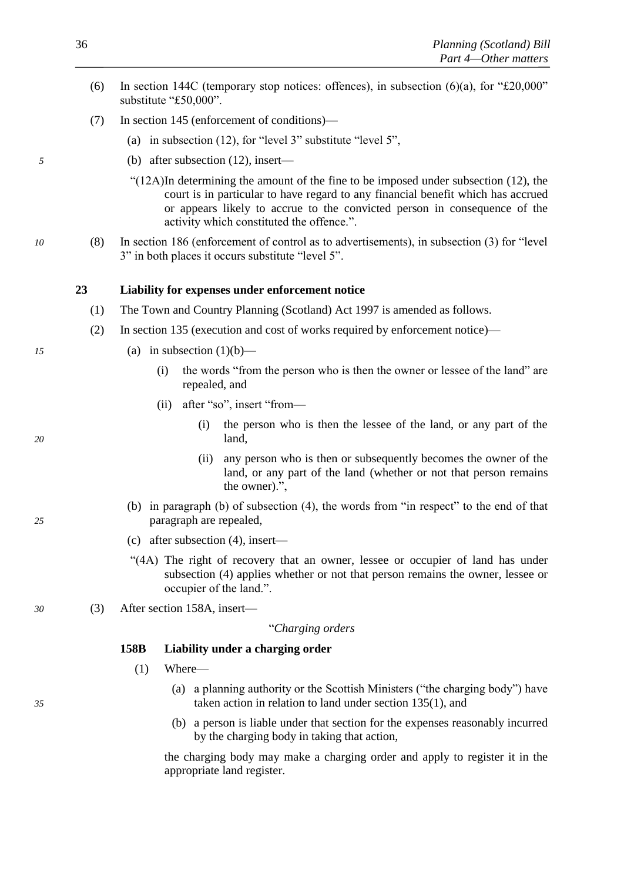- <span id="page-37-0"></span>(6) In section 144C (temporary stop notices: offences), in subsection  $(6)(a)$ , for "£20,000" substitute "£50,000".
- (7) In section 145 (enforcement of conditions)—
	- (a) in subsection (12), for "level 3" substitute "level 5",
- *5* (b) after subsection (12), insert—
	- "(12A)In determining the amount of the fine to be imposed under subsection (12), the court is in particular to have regard to any financial benefit which has accrued or appears likely to accrue to the convicted person in consequence of the activity which constituted the offence.".
- *10* (8) In section 186 (enforcement of control as to advertisements), in subsection (3) for "level 3" in both places it occurs substitute "level 5".

#### **23 Liability for expenses under enforcement notice**

- (1) The Town and Country Planning (Scotland) Act 1997 is amended as follows.
- (2) In section 135 (execution and cost of works required by enforcement notice)—
- *15* (a) in subsection (1)(b)—
	- (i) the words "from the person who is then the owner or lessee of the land" are repealed, and
	- (ii) after "so", insert "from—
- (i) the person who is then the lessee of the land, or any part of the *20* land,
	- (ii) any person who is then or subsequently becomes the owner of the land, or any part of the land (whether or not that person remains the owner).",
- (b) in paragraph (b) of subsection (4), the words from "in respect" to the end of that *25* paragraph are repealed,
	- (c) after subsection (4), insert—
	- "(4A) The right of recovery that an owner, lessee or occupier of land has under subsection (4) applies whether or not that person remains the owner, lessee or occupier of the land.".
- *30* (3) After section 158A, insert—

#### "*Charging orders*

# **158B Liability under a charging order**

- (1) Where—
- (a) a planning authority or the Scottish Ministers ("the charging body") have *35* taken action in relation to land under section 135(1), and
	- (b) a person is liable under that section for the expenses reasonably incurred by the charging body in taking that action,

the charging body may make a charging order and apply to register it in the appropriate land register.

- 
-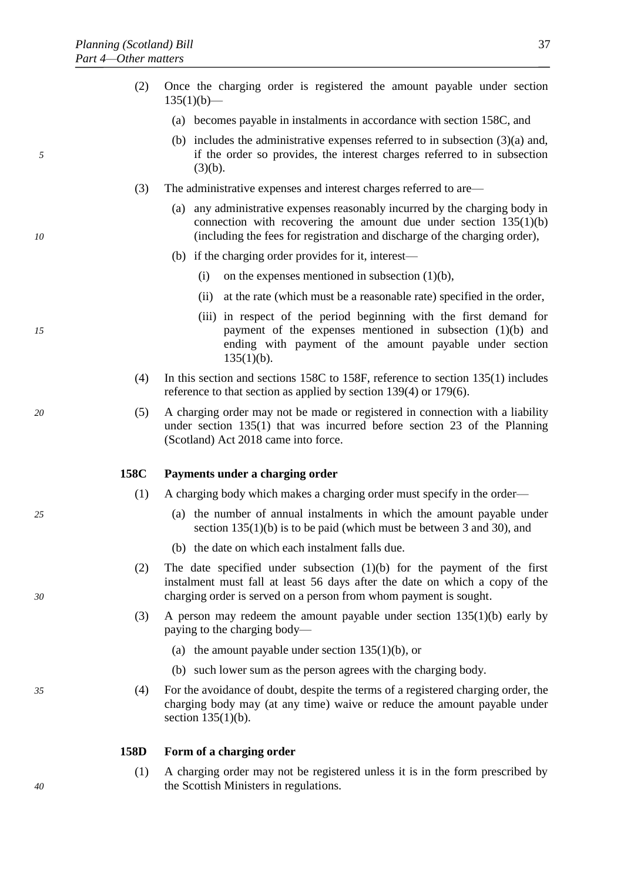- (a) becomes payable in instalments in accordance with section 158C, and
- (b) includes the administrative expenses referred to in subsection  $(3)(a)$  and, *5* if the order so provides, the interest charges referred to in subsection  $(3)(b)$ .
	- (3) The administrative expenses and interest charges referred to are—
- (a) any administrative expenses reasonably incurred by the charging body in connection with recovering the amount due under section  $135(1)(b)$ *10* (including the fees for registration and discharge of the charging order),
	- (b) if the charging order provides for it, interest—
		- (i) on the expenses mentioned in subsection  $(1)(b)$ ,
		- (ii) at the rate (which must be a reasonable rate) specified in the order,
- (iii) in respect of the period beginning with the first demand for *15* payment of the expenses mentioned in subsection (1)(b) and ending with payment of the amount payable under section  $135(1)(b)$ .
	- (4) In this section and sections 158C to 158F, reference to section 135(1) includes reference to that section as applied by section 139(4) or 179(6).
- *20* (5) A charging order may not be made or registered in connection with a liability under section 135(1) that was incurred before section [23](#page-37-0) of the Planning (Scotland) Act 2018 came into force.

# **158C Payments under a charging order**

- (1) A charging body which makes a charging order must specify in the order—
- *25* (a) the number of annual instalments in which the amount payable under section 135(1)(b) is to be paid (which must be between 3 and 30), and
	- (b) the date on which each instalment falls due.
- (2) The date specified under subsection (1)(b) for the payment of the first instalment must fall at least 56 days after the date on which a copy of the *30* charging order is served on a person from whom payment is sought.
	- (3) A person may redeem the amount payable under section 135(1)(b) early by paying to the charging body—
		- (a) the amount payable under section  $135(1)(b)$ , or
		- (b) such lower sum as the person agrees with the charging body.
- *35* (4) For the avoidance of doubt, despite the terms of a registered charging order, the charging body may (at any time) waive or reduce the amount payable under section 135(1)(b).

#### **158D Form of a charging order**

(1) A charging order may not be registered unless it is in the form prescribed by the Scottish Ministers in regulations.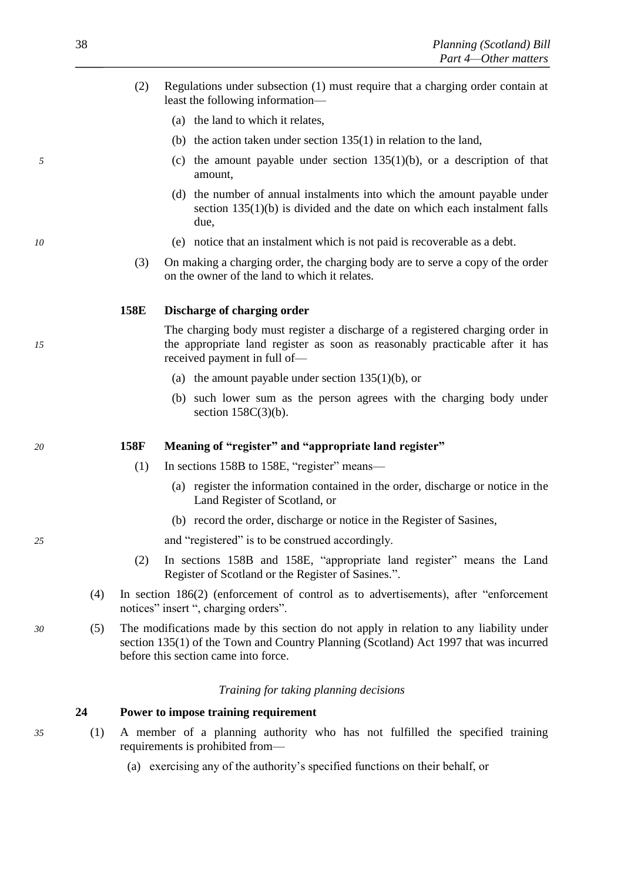- <span id="page-39-0"></span>(2) Regulations under subsection (1) must require that a charging order contain at least the following information—
	- (a) the land to which it relates,
	- (b) the action taken under section 135(1) in relation to the land,
- *5* (c) the amount payable under section 135(1)(b), or a description of that amount,
	- (d) the number of annual instalments into which the amount payable under section 135(1)(b) is divided and the date on which each instalment falls due,
- *10* (e) notice that an instalment which is not paid is recoverable as a debt.
	- (3) On making a charging order, the charging body are to serve a copy of the order on the owner of the land to which it relates.

#### **158E Discharge of charging order**

The charging body must register a discharge of a registered charging order in *15* the appropriate land register as soon as reasonably practicable after it has received payment in full of—

- (a) the amount payable under section  $135(1)(b)$ , or
- (b) such lower sum as the person agrees with the charging body under section 158C(3)(b).

# *20* **158F Meaning of "register" and "appropriate land register"**

- (1) In sections 158B to 158E, "register" means—
	- (a) register the information contained in the order, discharge or notice in the Land Register of Scotland, or
	- (b) record the order, discharge or notice in the Register of Sasines,

*25* and "registered" is to be construed accordingly.

- (2) In sections 158B and 158E, "appropriate land register" means the Land Register of Scotland or the Register of Sasines.".
- (4) In section 186(2) (enforcement of control as to advertisements), after "enforcement notices" insert ", charging orders".
- *30* (5) The modifications made by this section do not apply in relation to any liability under section 135(1) of the Town and Country Planning (Scotland) Act 1997 that was incurred before this section came into force.

*Training for taking planning decisions*

**24 Power to impose training requirement**

- *35* (1) A member of a planning authority who has not fulfilled the specified training requirements is prohibited from—
	- (a) exercising any of the authority's specified functions on their behalf, or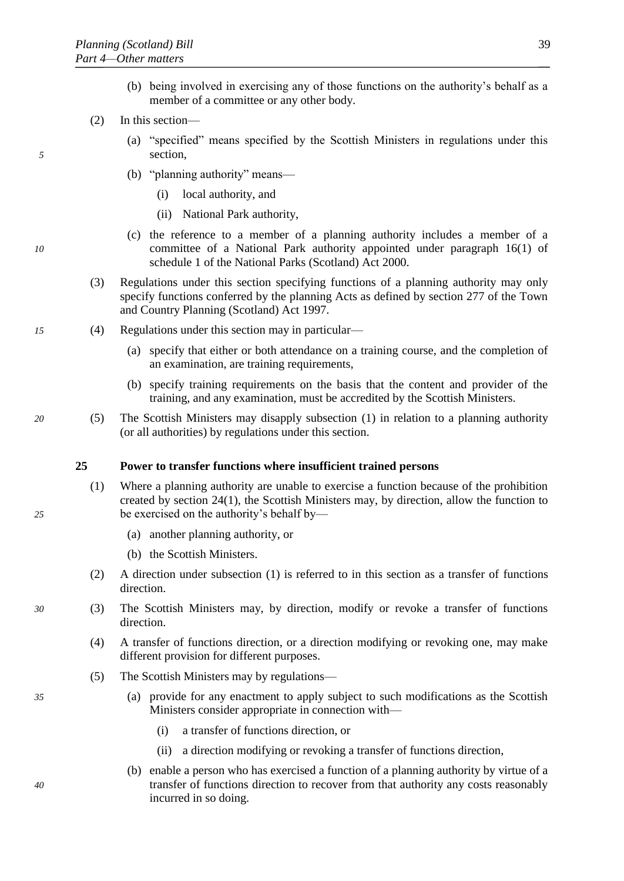- (b) being involved in exercising any of those functions on the authority's behalf as a member of a committee or any other body.
- (2) In this section—
- <span id="page-40-0"></span>(a) "specified" means specified by the Scottish Ministers in regulations under this *5* section,
	- (b) "planning authority" means—
		- (i) local authority, and
		- (ii) National Park authority,
- (c) the reference to a member of a planning authority includes a member of a *10* committee of a National Park authority appointed under paragraph 16(1) of schedule 1 of the National Parks (Scotland) Act 2000.
	- (3) Regulations under this section specifying functions of a planning authority may only specify functions conferred by the planning Acts as defined by section 277 of the Town and Country Planning (Scotland) Act 1997.
- *15* (4) Regulations under this section may in particular—
	- (a) specify that either or both attendance on a training course, and the completion of an examination, are training requirements,
	- (b) specify training requirements on the basis that the content and provider of the training, and any examination, must be accredited by the Scottish Ministers.
- *20* (5) The Scottish Ministers may disapply subsection [\(1\)](#page-39-0) in relation to a planning authority (or all authorities) by regulations under this section.

# **25 Power to transfer functions where insufficient trained persons**

- (1) Where a planning authority are unable to exercise a function because of the prohibition created by section [24\(1\),](#page-39-0) the Scottish Ministers may, by direction, allow the function to *25* be exercised on the authority's behalf by—
	- (a) another planning authority, or
	- (b) the Scottish Ministers.
	- (2) A direction under subsection [\(1\)](#page-40-0) is referred to in this section as a transfer of functions direction.
- *30* (3) The Scottish Ministers may, by direction, modify or revoke a transfer of functions direction.
	- (4) A transfer of functions direction, or a direction modifying or revoking one, may make different provision for different purposes.
	- (5) The Scottish Ministers may by regulations—
- *35* (a) provide for any enactment to apply subject to such modifications as the Scottish Ministers consider appropriate in connection with—
	- (i) a transfer of functions direction, or
	- (ii) a direction modifying or revoking a transfer of functions direction,
- (b) enable a person who has exercised a function of a planning authority by virtue of a *40* transfer of functions direction to recover from that authority any costs reasonably incurred in so doing.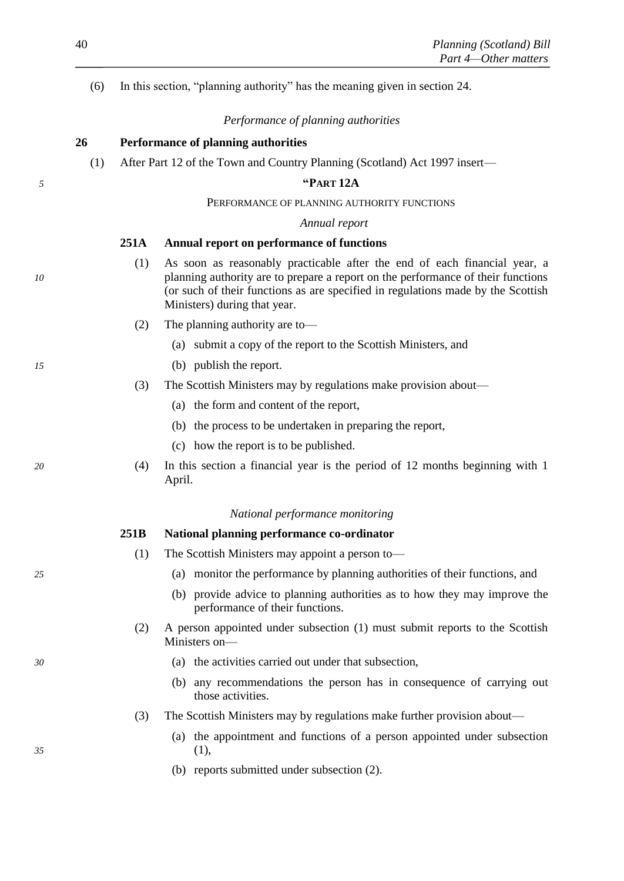(6) In this section, "planning authority" has the meaning given in section [24.](#page-39-0)

# *Performance of planning authorities*

# **26 Performance of planning authorities**

(1) After Part 12 of the Town and Country Planning (Scotland) Act 1997 insert—

## *5* **"PART 12A**

#### PERFORMANCE OF PLANNING AUTHORITY FUNCTIONS

#### *Annual report*

#### **251A Annual report on performance of functions**

- (1) As soon as reasonably practicable after the end of each financial year, a *10* planning authority are to prepare a report on the performance of their functions (or such of their functions as are specified in regulations made by the Scottish Ministers) during that year.
	- (2) The planning authority are to—
		- (a) submit a copy of the report to the Scottish Ministers, and
- *15* (b) publish the report.
	- (3) The Scottish Ministers may by regulations make provision about—
		- (a) the form and content of the report,
		- (b) the process to be undertaken in preparing the report,
		- (c) how the report is to be published.
- *20* (4) In this section a financial year is the period of 12 months beginning with 1 April.

#### *National performance monitoring*

# **251B National planning performance co-ordinator**

- (1) The Scottish Ministers may appoint a person to—
- *25* (a) monitor the performance by planning authorities of their functions, and
	- (b) provide advice to planning authorities as to how they may improve the performance of their functions.
	- (2) A person appointed under subsection (1) must submit reports to the Scottish Ministers on—
- *30* (a) the activities carried out under that subsection,
	- (b) any recommendations the person has in consequence of carrying out those activities.
	- (3) The Scottish Ministers may by regulations make further provision about—
- (a) the appointment and functions of a person appointed under subsection *35* (1),
	- (b) reports submitted under subsection (2).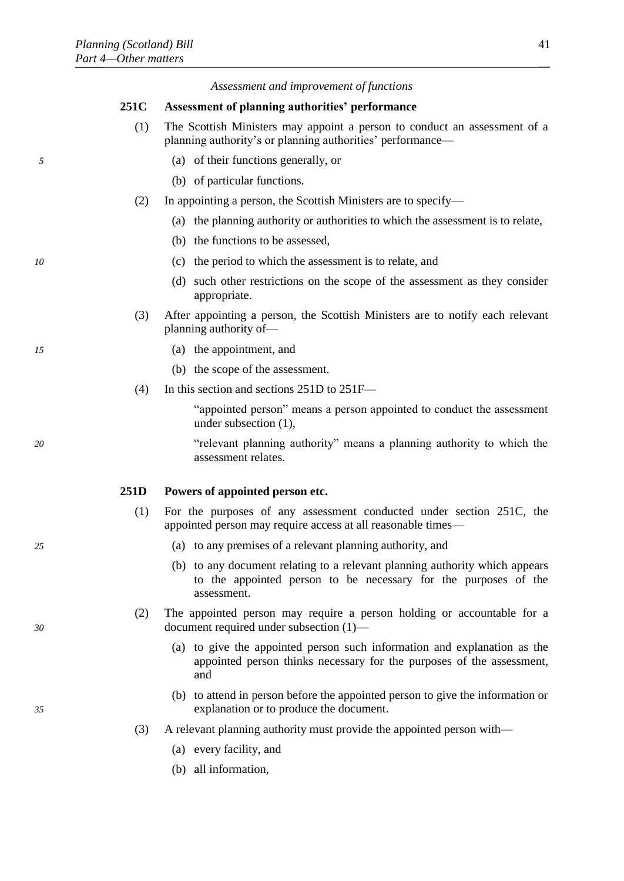|    |      | Assessment and improvement of functions                                                                                                                       |
|----|------|---------------------------------------------------------------------------------------------------------------------------------------------------------------|
|    | 251C | <b>Assessment of planning authorities' performance</b>                                                                                                        |
|    | (1)  | The Scottish Ministers may appoint a person to conduct an assessment of a<br>planning authority's or planning authorities' performance—                       |
| 5  |      | (a) of their functions generally, or                                                                                                                          |
|    |      | (b) of particular functions.                                                                                                                                  |
|    | (2)  | In appointing a person, the Scottish Ministers are to specify—                                                                                                |
|    |      | (a) the planning authority or authorities to which the assessment is to relate,                                                                               |
|    |      | (b) the functions to be assessed,                                                                                                                             |
| 10 |      | (c) the period to which the assessment is to relate, and                                                                                                      |
|    |      | (d) such other restrictions on the scope of the assessment as they consider<br>appropriate.                                                                   |
|    | (3)  | After appointing a person, the Scottish Ministers are to notify each relevant<br>planning authority of-                                                       |
| 15 |      | (a) the appointment, and                                                                                                                                      |
|    |      | (b) the scope of the assessment.                                                                                                                              |
|    | (4)  | In this section and sections 251D to 251F-                                                                                                                    |
|    |      | "appointed person" means a person appointed to conduct the assessment<br>under subsection $(1)$ ,                                                             |
| 20 |      | "relevant planning authority" means a planning authority to which the<br>assessment relates.                                                                  |
|    | 251D | Powers of appointed person etc.                                                                                                                               |
|    | (1)  | For the purposes of any assessment conducted under section 251C, the<br>appointed person may require access at all reasonable times—                          |
| 25 |      | (a) to any premises of a relevant planning authority, and                                                                                                     |
|    |      | (b) to any document relating to a relevant planning authority which appears<br>to the appointed person to be necessary for the purposes of the<br>assessment. |
| 30 | (2)  | The appointed person may require a person holding or accountable for a<br>document required under subsection $(1)$ —                                          |
|    |      | (a) to give the appointed person such information and explanation as the<br>appointed person thinks necessary for the purposes of the assessment,<br>and      |
| 35 |      | (b) to attend in person before the appointed person to give the information or<br>explanation or to produce the document.                                     |
|    | (3)  | A relevant planning authority must provide the appointed person with—                                                                                         |
|    |      | (a) every facility, and                                                                                                                                       |
|    |      | (b) all information,                                                                                                                                          |
|    |      |                                                                                                                                                               |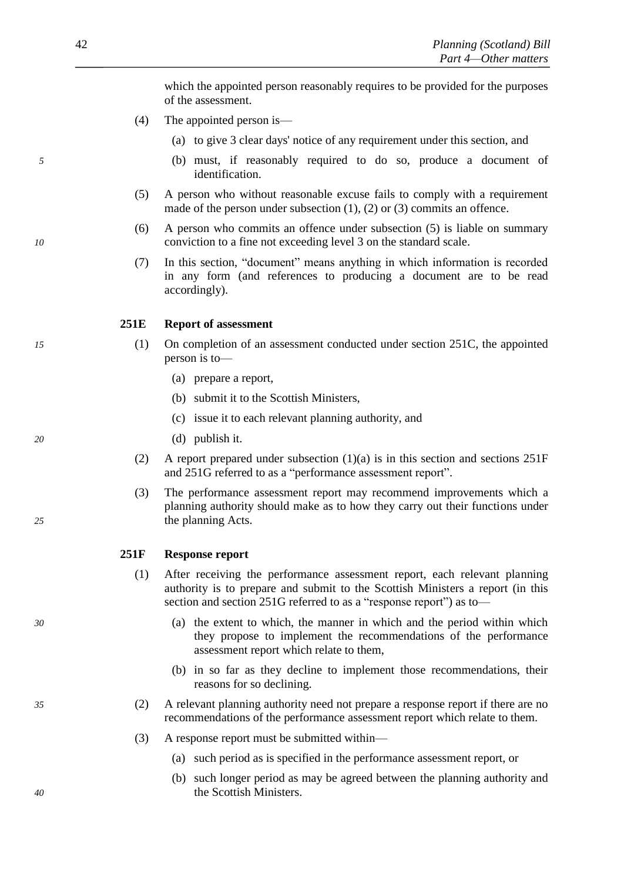which the appointed person reasonably requires to be provided for the purposes of the assessment.

- (4) The appointed person is—
	- (a) to give 3 clear days' notice of any requirement under this section, and
- *5* (b) must, if reasonably required to do so, produce a document of identification.
	- (5) A person who without reasonable excuse fails to comply with a requirement made of the person under subsection (1), (2) or (3) commits an offence.
- (6) A person who commits an offence under subsection (5) is liable on summary *10* conviction to a fine not exceeding level 3 on the standard scale.
	- (7) In this section, "document" means anything in which information is recorded in any form (and references to producing a document are to be read accordingly).

#### **251E Report of assessment**

- *15* (1) On completion of an assessment conducted under section 251C, the appointed person is to—
	- (a) prepare a report,
	- (b) submit it to the Scottish Ministers,
	- (c) issue it to each relevant planning authority, and
- *20* (d) publish it.
	- (2) A report prepared under subsection (1)(a) is in this section and sections 251F and 251G referred to as a "performance assessment report".
- (3) The performance assessment report may recommend improvements which a planning authority should make as to how they carry out their functions under *25* the planning Acts.

#### **251F Response report**

- (1) After receiving the performance assessment report, each relevant planning authority is to prepare and submit to the Scottish Ministers a report (in this section and section 251G referred to as a "response report" as to-
- *30* (a) the extent to which, the manner in which and the period within which they propose to implement the recommendations of the performance assessment report which relate to them,
	- (b) in so far as they decline to implement those recommendations, their reasons for so declining.
- *35* (2) A relevant planning authority need not prepare a response report if there are no recommendations of the performance assessment report which relate to them.
	- (3) A response report must be submitted within—
		- (a) such period as is specified in the performance assessment report, or
- (b) such longer period as may be agreed between the planning authority and *40* the Scottish Ministers.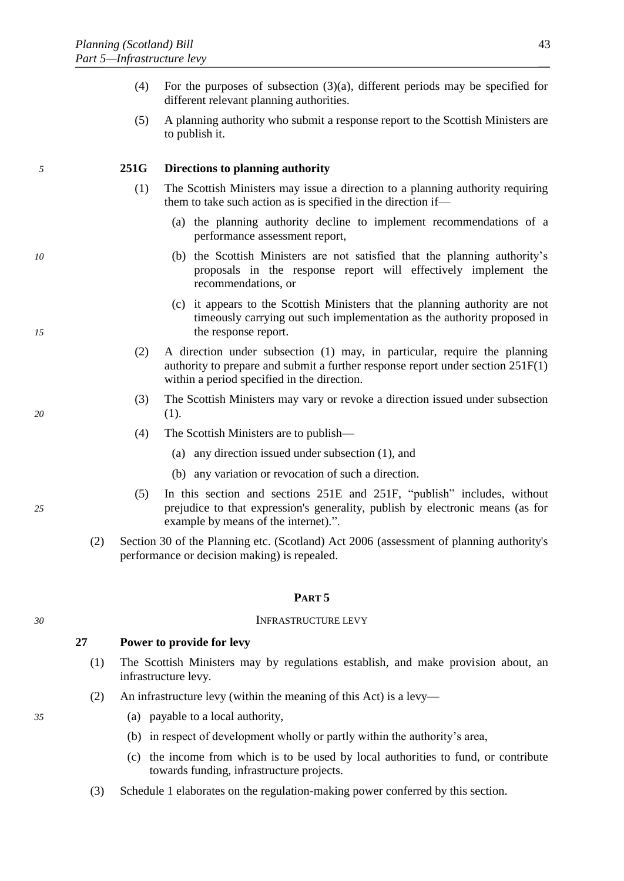- <span id="page-44-0"></span>(4) For the purposes of subsection (3)(a), different periods may be specified for different relevant planning authorities.
- (5) A planning authority who submit a response report to the Scottish Ministers are to publish it.

# *5* **251G Directions to planning authority**

- (1) The Scottish Ministers may issue a direction to a planning authority requiring them to take such action as is specified in the direction if—
	- (a) the planning authority decline to implement recommendations of a performance assessment report,
- *10* (b) the Scottish Ministers are not satisfied that the planning authority's proposals in the response report will effectively implement the recommendations, or
- (c) it appears to the Scottish Ministers that the planning authority are not timeously carrying out such implementation as the authority proposed in *15* the response report.
	- (2) A direction under subsection (1) may, in particular, require the planning authority to prepare and submit a further response report under section 251F(1) within a period specified in the direction.
- (3) The Scottish Ministers may vary or revoke a direction issued under subsection *20* (1).
	- (4) The Scottish Ministers are to publish—
		- (a) any direction issued under subsection (1), and
		- (b) any variation or revocation of such a direction.
- (5) In this section and sections 251E and 251F, "publish" includes, without *25* prejudice to that expression's generality, publish by electronic means (as for example by means of the internet).".
	- (2) Section 30 of the Planning etc. (Scotland) Act 2006 (assessment of planning authority's performance or decision making) is repealed.

# **PART 5**

#### *30* INFRASTRUCTURE LEVY

# **27 Power to provide for levy**

- (1) The Scottish Ministers may by regulations establish, and make provision about, an infrastructure levy.
- (2) An infrastructure levy (within the meaning of this Act) is a levy—
- *35* (a) payable to a local authority,
	- (b) in respect of development wholly or partly within the authority's area,
	- (c) the income from which is to be used by local authorities to fund, or contribute towards funding, infrastructure projects.
	- (3) Schedule [1](#page-47-0) elaborates on the regulation-making power conferred by this section.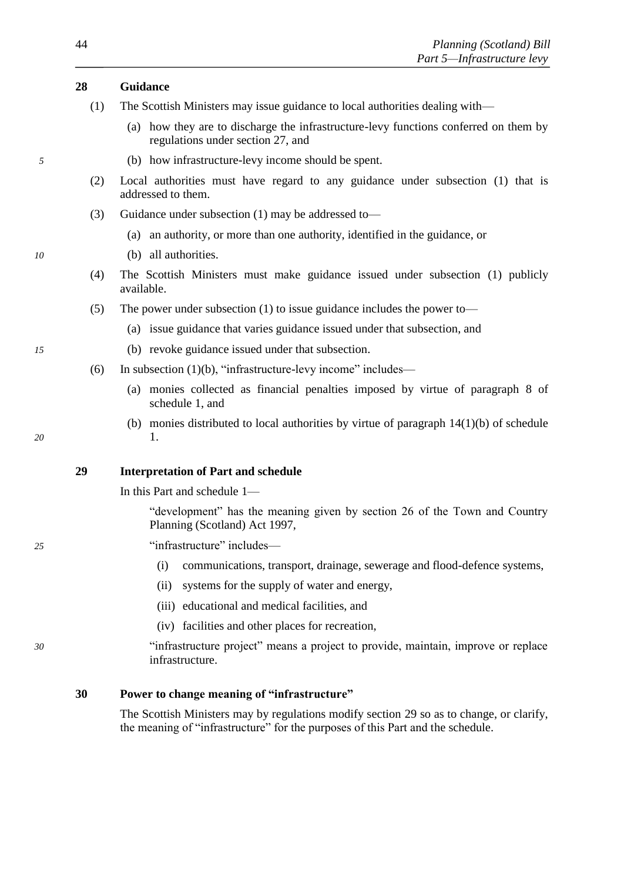# <span id="page-45-0"></span>**28 Guidance**

- (1) The Scottish Ministers may issue guidance to local authorities dealing with—
	- (a) how they are to discharge the infrastructure-levy functions conferred on them by regulations under section [27,](#page-44-0) and
- *5* (b) how infrastructure-levy income should be spent.
	- (2) Local authorities must have regard to any guidance under subsection [\(1\)](#page-45-0) that is addressed to them.
	- (3) Guidance under subsection [\(1\)](#page-45-0) may be addressed to—
		- (a) an authority, or more than one authority, identified in the guidance, or
- *10* (b) all authorities.
	- (4) The Scottish Ministers must make guidance issued under subsection [\(1\)](#page-45-0) publicly available.
	- (5) The power under subsection [\(1\)](#page-45-0) to issue guidance includes the power to—
		- (a) issue guidance that varies guidance issued under that subsection, and
- *15* (b) revoke guidance issued under that subsection.
	- (6) In subsection [\(1\)\(b\),](#page-45-0) "infrastructure-levy income" includes—
		- (a) monies collected as financial penalties imposed by virtue of paragraph [8](#page-48-0) of schedule [1,](#page-47-0) and
- (b) monies distributed to local authorities by virtue of paragraph [14\(](#page-49-0)1[\)\(b\)](#page-49-1) of schedule *20* [1.](#page-47-0)

# **29 Interpretation of Part and schedule**

In this Part and schedule [1—](#page-47-0)

"development" has the meaning given by section 26 of the Town and Country Planning (Scotland) Act 1997,

- *25* "infrastructure" includes—
	- (i) communications, transport, drainage, sewerage and flood-defence systems,
	- (ii) systems for the supply of water and energy,
	- (iii) educational and medical facilities, and
	- (iv) facilities and other places for recreation,
- *30* "infrastructure project" means a project to provide, maintain, improve or replace infrastructure.

# **30 Power to change meaning of "infrastructure"**

The Scottish Ministers may by regulations modify section [29](#page-45-0) so as to change, or clarify, the meaning of "infrastructure" for the purposes of this Part and the schedule.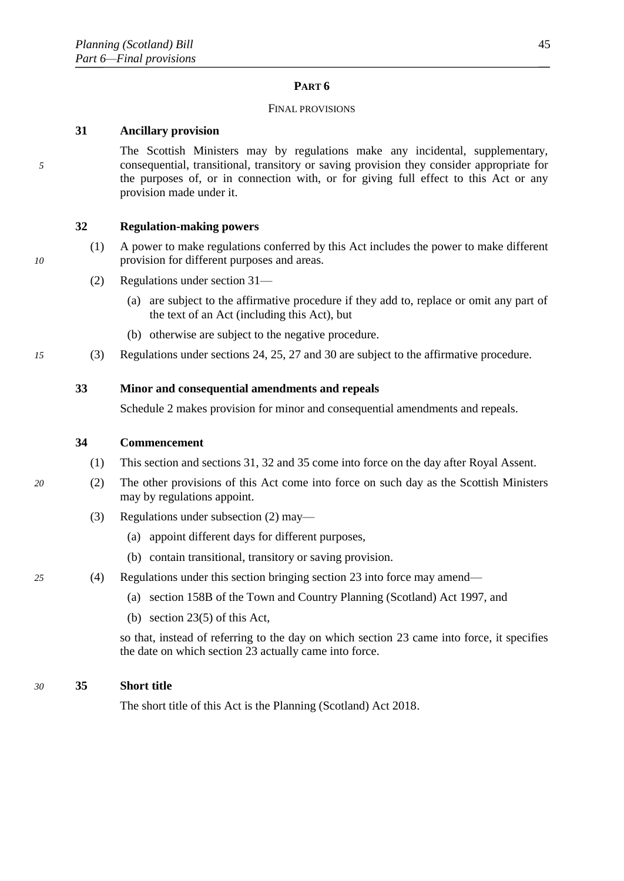# **PART 6**

#### FINAL PROVISIONS

# <span id="page-46-0"></span>**31 Ancillary provision**

The Scottish Ministers may by regulations make any incidental, supplementary, *5* consequential, transitional, transitory or saving provision they consider appropriate for the purposes of, or in connection with, or for giving full effect to this Act or any provision made under it.

# **32 Regulation-making powers**

- (1) A power to make regulations conferred by this Act includes the power to make different *10* provision for different purposes and areas.
	- (2) Regulations under section [31—](#page-46-0)
		- (a) are subject to the affirmative procedure if they add to, replace or omit any part of the text of an Act (including this Act), but
		- (b) otherwise are subject to the negative procedure.
- *15* (3) Regulations under sections [24,](#page-39-0) [25,](#page-40-0) [27](#page-44-0) and [30](#page-45-0) are subject to the affirmative procedure.

# **33 Minor and consequential amendments and repeals**

Schedule [2](#page-51-0) makes provision for minor and consequential amendments and repeals.

# **34 Commencement**

- (1) This section and section[s 31, 32](#page-46-0) and [35](#page-46-0) come into force on the day after Royal Assent.
- *20* (2) The other provisions of this Act come into force on such day as the Scottish Ministers may by regulations appoint.
	- (3) Regulations under subsection [\(2\)](#page-46-0) may—
		- (a) appoint different days for different purposes,
		- (b) contain transitional, transitory or saving provision.
- *25* (4) Regulations under this section bringing section [23](#page-37-0) into force may amend—
	- (a) section 158B of the Town and Country Planning (Scotland) Act 1997, and
	- (b) section [23\(5\)](#page-37-0) of this Act,

so that, instead of referring to the day on which section [23](#page-37-0) came into force, it specifies the date on which section [23](#page-37-0) actually came into force.

#### *30* **35 Short title**

The short title of this Act is the Planning (Scotland) Act 2018.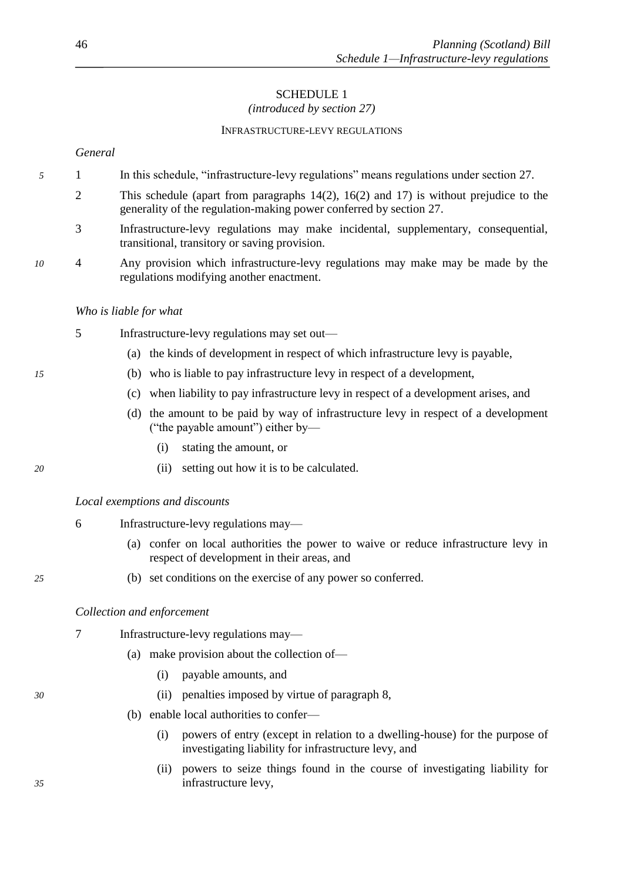# SCHEDULE 1 *(introduced by section [27\)](#page-44-0)*

#### INFRASTRUCTURE-LEVY REGULATIONS

<span id="page-47-0"></span>*General*

- *5* 1 In this schedule, "infrastructure-levy regulations" means regulations under section [27.](#page-44-0)
	- 2 This schedule (apart from paragraphs 14(2), 16(2) and [17\)](#page-50-0) is without prejudice to the generality of the regulation-making power conferred by section [27.](#page-44-0)
	- 3 Infrastructure-levy regulations may make incidental, supplementary, consequential, transitional, transitory or saving provision.
- *10* 4 Any provision which infrastructure-levy regulations may make may be made by the regulations modifying another enactment.

#### *Who is liable for what*

- 5 Infrastructure-levy regulations may set out—
	- (a) the kinds of development in respect of which infrastructure levy is payable,
- *15* (b) who is liable to pay infrastructure levy in respect of a development,
	- (c) when liability to pay infrastructure levy in respect of a development arises, and
	- (d) the amount to be paid by way of infrastructure levy in respect of a development ("the payable amount") either by—
		- (i) stating the amount, or
- *20* (ii) setting out how it is to be calculated.

# *Local exemptions and discounts*

- 6 Infrastructure-levy regulations may—
	- (a) confer on local authorities the power to waive or reduce infrastructure levy in respect of development in their areas, and
- *25* (b) set conditions on the exercise of any power so conferred.

# *Collection and enforcement*

- 7 Infrastructure-levy regulations may—
	- (a) make provision about the collection of—
		- (i) payable amounts, and
- *30* (ii) penalties imposed by virtue of paragraph [8,](#page-48-0)
	- (b) enable local authorities to confer—
		- (i) powers of entry (except in relation to a dwelling-house) for the purpose of investigating liability for infrastructure levy, and
- (ii) powers to seize things found in the course of investigating liability for *35* infrastructure levy,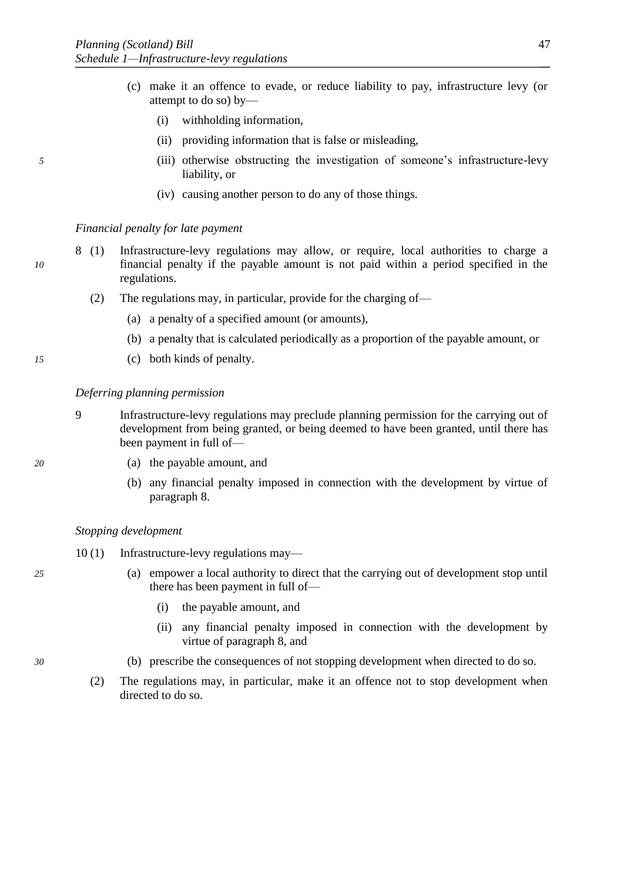- (c) make it an offence to evade, or reduce liability to pay, infrastructure levy (or attempt to do so) by—
	- (i) withholding information,
	- (ii) providing information that is false or misleading,
- *5* (iii) otherwise obstructing the investigation of someone's infrastructure-levy liability, or
	- (iv) causing another person to do any of those things.

#### <span id="page-48-0"></span>*Financial penalty for late payment*

- 8 (1) Infrastructure-levy regulations may allow, or require, local authorities to charge a *10* financial penalty if the payable amount is not paid within a period specified in the regulations.
	- (2) The regulations may, in particular, provide for the charging of—
		- (a) a penalty of a specified amount (or amounts),
		- (b) a penalty that is calculated periodically as a proportion of the payable amount, or
- *15* (c) both kinds of penalty.

#### *Deferring planning permission*

- 9 Infrastructure-levy regulations may preclude planning permission for the carrying out of development from being granted, or being deemed to have been granted, until there has been payment in full of—
- 
- *20* (a) the payable amount, and
	- (b) any financial penalty imposed in connection with the development by virtue of paragraph [8.](#page-48-0)

#### *Stopping development*

- 10 (1) Infrastructure-levy regulations may—
- *25* (a) empower a local authority to direct that the carrying out of development stop until there has been payment in full of—
	- (i) the payable amount, and
	- (ii) any financial penalty imposed in connection with the development by virtue of paragraph [8,](#page-48-0) and
- *30* (b) prescribe the consequences of not stopping development when directed to do so.
	- (2) The regulations may, in particular, make it an offence not to stop development when directed to do so.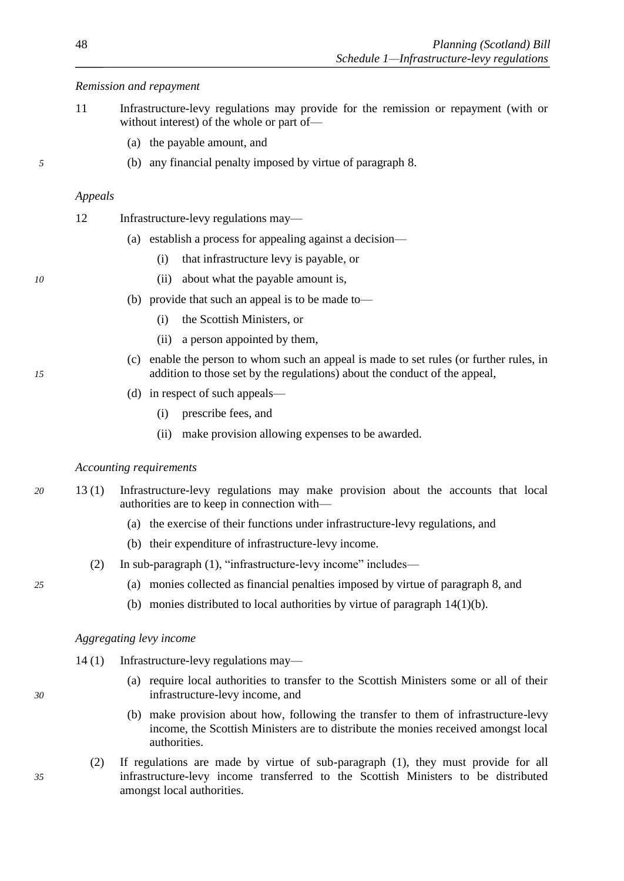# <span id="page-49-1"></span>*Remission and repayment*

- 11 Infrastructure-levy regulations may provide for the remission or repayment (with or without interest) of the whole or part of—
	- (a) the payable amount, and
- *5* (b) any financial penalty imposed by virtue of paragraph [8.](#page-48-0)

#### *Appeals*

- 12 Infrastructure-levy regulations may—
	- (a) establish a process for appealing against a decision—
		- (i) that infrastructure levy is payable, or
- *10* (ii) about what the payable amount is,
	- (b) provide that such an appeal is to be made to—
		- (i) the Scottish Ministers, or
		- (ii) a person appointed by them,
- (c) enable the person to whom such an appeal is made to set rules (or further rules, in *15* addition to those set by the regulations) about the conduct of the appeal,
	- (d) in respect of such appeals—
		- (i) prescribe fees, and
		- (ii) make provision allowing expenses to be awarded.

#### <span id="page-49-2"></span>*Accounting requirements*

- *20* 13 (1) Infrastructure-levy regulations may make provision about the accounts that local authorities are to keep in connection with—
	- (a) the exercise of their functions under infrastructure-levy regulations, and
	- (b) their expenditure of infrastructure-levy income.
	- (2) In sub-paragraph [\(1\),](#page-49-2) "infrastructure-levy income" includes—
- *25* (a) monies collected as financial penalties imposed by virtue of paragraph [8,](#page-48-0) and
	- (b) monies distributed to local authorities by virtue of paragraph [14\(](#page-49-0)1[\)\(b\).](#page-49-1)

#### *Aggregating levy income*

- <span id="page-49-0"></span>14 (1) Infrastructure-levy regulations may—
- (a) require local authorities to transfer to the Scottish Ministers some or all of their *30* infrastructure-levy income, and
	- (b) make provision about how, following the transfer to them of infrastructure-levy income, the Scottish Ministers are to distribute the monies received amongst local authorities.
- (2) If regulations are made by virtue of sub-paragraph (1), they must provide for all *35* infrastructure-levy income transferred to the Scottish Ministers to be distributed amongst local authorities.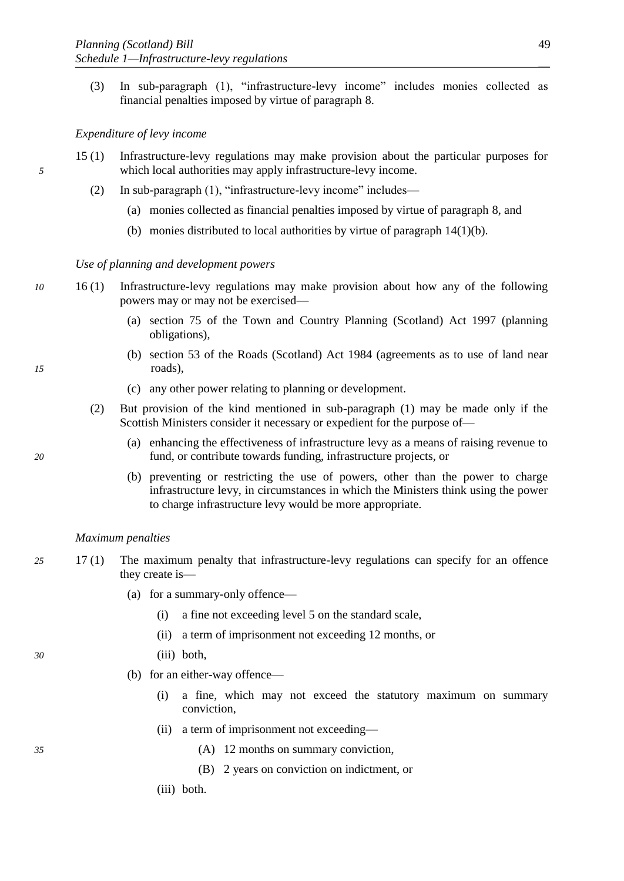<span id="page-50-1"></span>(3) In sub-paragraph (1), "infrastructure-levy income" includes monies collected as financial penalties imposed by virtue of paragraph [8.](#page-48-0)

# *Expenditure of levy income*

- 15 (1) Infrastructure-levy regulations may make provision about the particular purposes for *5* which local authorities may apply infrastructure-levy income.
	- (2) In sub-paragraph (1), "infrastructure-levy income" includes—
		- (a) monies collected as financial penalties imposed by virtue of paragraph [8,](#page-48-0) and
		- (b) monies distributed to local authorities by virtue of paragraph [14\(](#page-49-0)1[\)\(b\).](#page-49-1)

#### *Use of planning and development powers*

- *10* 16 (1) Infrastructure-levy regulations may make provision about how any of the following powers may or may not be exercised—
	- (a) section 75 of the Town and Country Planning (Scotland) Act 1997 (planning obligations),
- (b) section 53 of the Roads (Scotland) Act 1984 (agreements as to use of land near *15* roads),
	- (c) any other power relating to planning or development.
	- (2) But provision of the kind mentioned in sub-paragraph (1) may be made only if the Scottish Ministers consider it necessary or expedient for the purpose of—
- (a) enhancing the effectiveness of infrastructure levy as a means of raising revenue to *20* fund, or contribute towards funding, infrastructure projects, or
	- (b) preventing or restricting the use of powers, other than the power to charge infrastructure levy, in circumstances in which the Ministers think using the power to charge infrastructure levy would be more appropriate.

#### <span id="page-50-0"></span>*Maximum penalties*

- *25* 17 (1) The maximum penalty that infrastructure-levy regulations can specify for an offence they create is—
	- (a) for a summary-only offence—
		- (i) a fine not exceeding level 5 on the standard scale,
		- (ii) a term of imprisonment not exceeding 12 months, or
- *30* (iii) both,
	- (b) for an either-way offence—
		- (i) a fine, which may not exceed the statutory maximum on summary conviction,
		- (ii) a term of imprisonment not exceeding—
- *35* (A) 12 months on summary conviction,
	- (B) 2 years on conviction on indictment, or
	- (iii) both.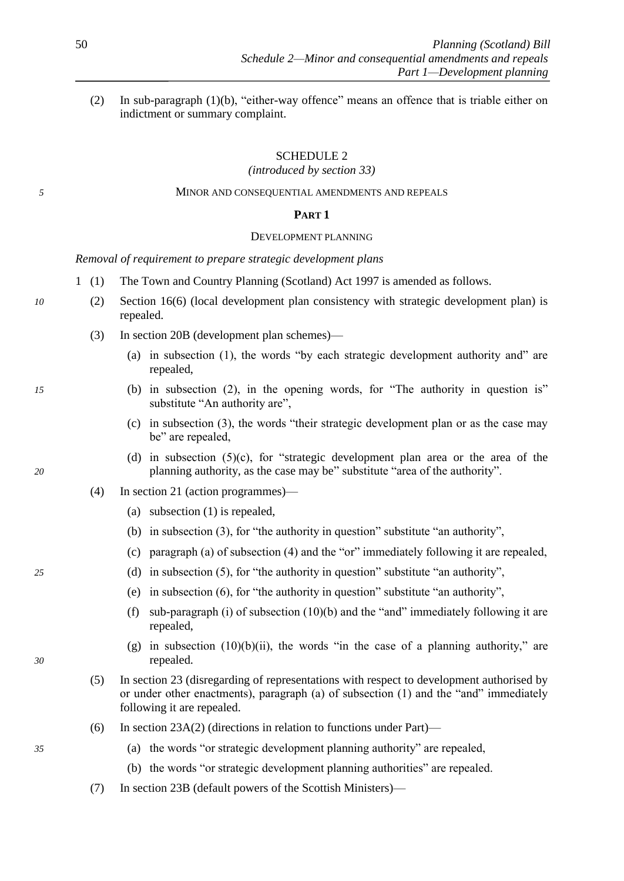<span id="page-51-0"></span>(2) In sub-paragraph (1[\)\(b\),](#page-50-1) "either-way offence" means an offence that is triable either on indictment or summary complaint.

# SCHEDULE 2

*(introduced by section [33\)](#page-46-0)*

# *5* MINOR AND CONSEQUENTIAL AMENDMENTS AND REPEALS

# **PART 1**

#### DEVELOPMENT PLANNING

*Removal of requirement to prepare strategic development plans*

- 1 (1) The Town and Country Planning (Scotland) Act 1997 is amended as follows.
- *10* (2) Section 16(6) (local development plan consistency with strategic development plan) is repealed.
	- (3) In section 20B (development plan schemes)—
		- (a) in subsection (1), the words "by each strategic development authority and" are repealed,
- *15* (b) in subsection (2), in the opening words, for "The authority in question is" substitute "An authority are",
	- (c) in subsection (3), the words "their strategic development plan or as the case may be" are repealed,
- (d) in subsection  $(5)(c)$ , for "strategic development plan area or the area of the *20* planning authority, as the case may be" substitute "area of the authority".
	- (4) In section 21 (action programmes)—
		- (a) subsection (1) is repealed,
		- (b) in subsection (3), for "the authority in question" substitute "an authority",
		- (c) paragraph (a) of subsection (4) and the "or" immediately following it are repealed,
- *25* (d) in subsection (5), for "the authority in question" substitute "an authority",
	- (e) in subsection (6), for "the authority in question" substitute "an authority",
	- (f) sub-paragraph (i) of subsection  $(10)(b)$  and the "and" immediately following it are repealed,
- (g) in subsection  $(10)(b)(ii)$ , the words "in the case of a planning authority," are *30* repealed.
	- (5) In section 23 (disregarding of representations with respect to development authorised by or under other enactments), paragraph (a) of subsection (1) and the "and" immediately following it are repealed.
	- (6) In section 23A(2) (directions in relation to functions under Part)—
- *35* (a) the words "or strategic development planning authority" are repealed,
	- (b) the words "or strategic development planning authorities" are repealed.
	- (7) In section 23B (default powers of the Scottish Ministers)—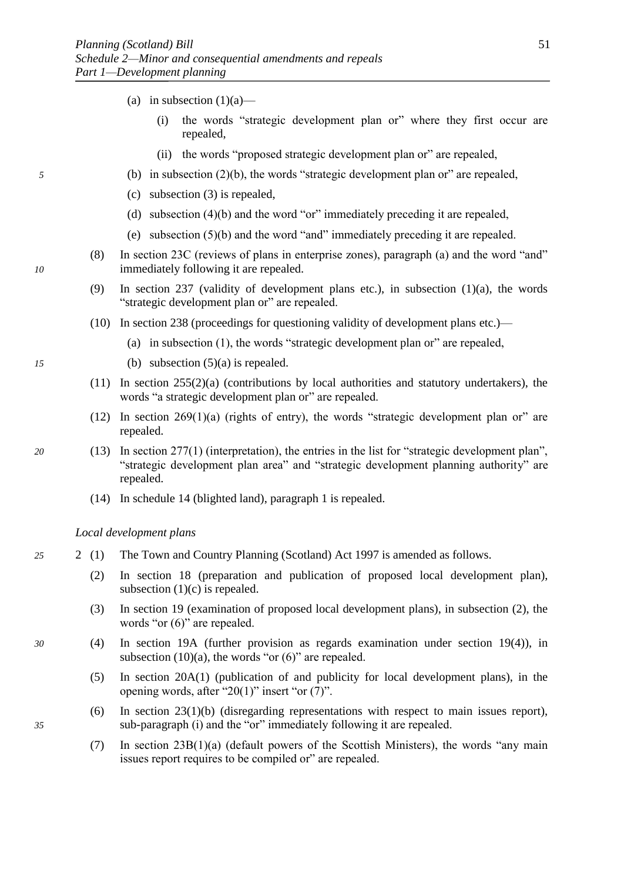- (a) in subsection  $(1)(a)$ 
	- (i) the words "strategic development plan or" where they first occur are repealed,
	- (ii) the words "proposed strategic development plan or" are repealed,
- *5* (b) in subsection (2)(b), the words "strategic development plan or" are repealed,
	- (c) subsection (3) is repealed,
	- (d) subsection (4)(b) and the word "or" immediately preceding it are repealed,
	- (e) subsection (5)(b) and the word "and" immediately preceding it are repealed.
- (8) In section 23C (reviews of plans in enterprise zones), paragraph (a) and the word "and" *10* immediately following it are repealed.
	- (9) In section 237 (validity of development plans etc.), in subsection (1)(a), the words "strategic development plan or" are repealed.
	- (10) In section 238 (proceedings for questioning validity of development plans etc.)—
		- (a) in subsection (1), the words "strategic development plan or" are repealed,
- *15* (b) subsection (5)(a) is repealed.
	- (11) In section 255(2)(a) (contributions by local authorities and statutory undertakers), the words "a strategic development plan or" are repealed.
	- (12) In section  $269(1)(a)$  (rights of entry), the words "strategic development plan or" are repealed.
- *20* (13) In section 277(1) (interpretation), the entries in the list for "strategic development plan", "strategic development plan area" and "strategic development planning authority" are repealed.
	- (14) In schedule 14 (blighted land), paragraph 1 is repealed.

*Local development plans*

- *25* 2 (1) The Town and Country Planning (Scotland) Act 1997 is amended as follows.
	- (2) In section 18 (preparation and publication of proposed local development plan), subsection  $(1)(c)$  is repealed.
	- (3) In section 19 (examination of proposed local development plans), in subsection (2), the words "or  $(6)$ " are repealed.
- *30* (4) In section 19A (further provision as regards examination under section 19(4)), in subsection  $(10)(a)$ , the words "or  $(6)$ " are repealed.
	- (5) In section 20A(1) (publication of and publicity for local development plans), in the opening words, after "20(1)" insert "or (7)".
- (6) In section 23(1)(b) (disregarding representations with respect to main issues report), *35* sub-paragraph (i) and the "or" immediately following it are repealed.
	- (7) In section 23B(1)(a) (default powers of the Scottish Ministers), the words "any main issues report requires to be compiled or" are repealed.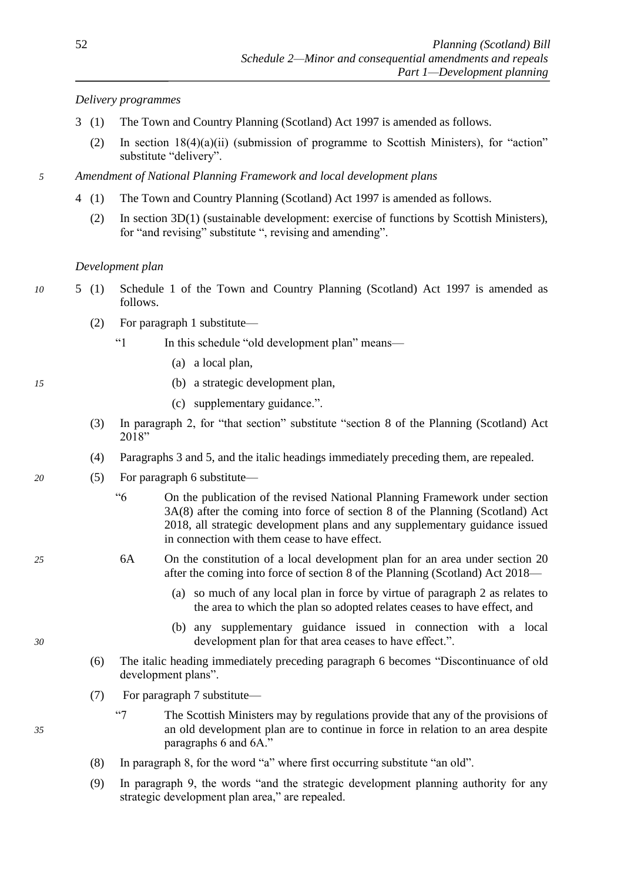# *Delivery programmes*

- 3 (1) The Town and Country Planning (Scotland) Act 1997 is amended as follows.
	- (2) In section 18(4)(a)(ii) (submission of programme to Scottish Ministers), for "action" substitute "delivery".
- *5 Amendment of National Planning Framework and local development plans*
	- 4 (1) The Town and Country Planning (Scotland) Act 1997 is amended as follows.
		- (2) In section 3D(1) (sustainable development: exercise of functions by Scottish Ministers), for "and revising" substitute ", revising and amending".

# *Development plan*

- *10* 5 (1) Schedule 1 of the Town and Country Planning (Scotland) Act 1997 is amended as follows.
	- (2) For paragraph 1 substitute—
		- "1 In this schedule "old development plan" means—
			- (a) a local plan,
- *15* (b) a strategic development plan,
	- (c) supplementary guidance.".
	- (3) In paragraph 2, for "that section" substitute "section [8](#page-8-0) of the Planning (Scotland) Act 2018"
	- (4) Paragraphs 3 and 5, and the italic headings immediately preceding them, are repealed.
- *20* (5) For paragraph 6 substitute—
	- "6 On the publication of the revised National Planning Framework under section 3A(8) after the coming into force of section [8](#page-8-0) of the Planning (Scotland) Act 2018, all strategic development plans and any supplementary guidance issued in connection with them cease to have effect.
- *25* 6A On the constitution of a local development plan for an area under section 20 after the coming into force of section [8](#page-8-0) of the Planning (Scotland) Act 2018—
	- (a) so much of any local plan in force by virtue of paragraph 2 as relates to the area to which the plan so adopted relates ceases to have effect, and
- (b) any supplementary guidance issued in connection with a local *30* development plan for that area ceases to have effect.".
	- (6) The italic heading immediately preceding paragraph 6 becomes "Discontinuance of old development plans".
	- (7) For paragraph 7 substitute—
- "7 The Scottish Ministers may by regulations provide that any of the provisions of *35* an old development plan are to continue in force in relation to an area despite paragraphs 6 and 6A."
	- (8) In paragraph 8, for the word "a" where first occurring substitute "an old".
	- (9) In paragraph 9, the words "and the strategic development planning authority for any strategic development plan area," are repealed.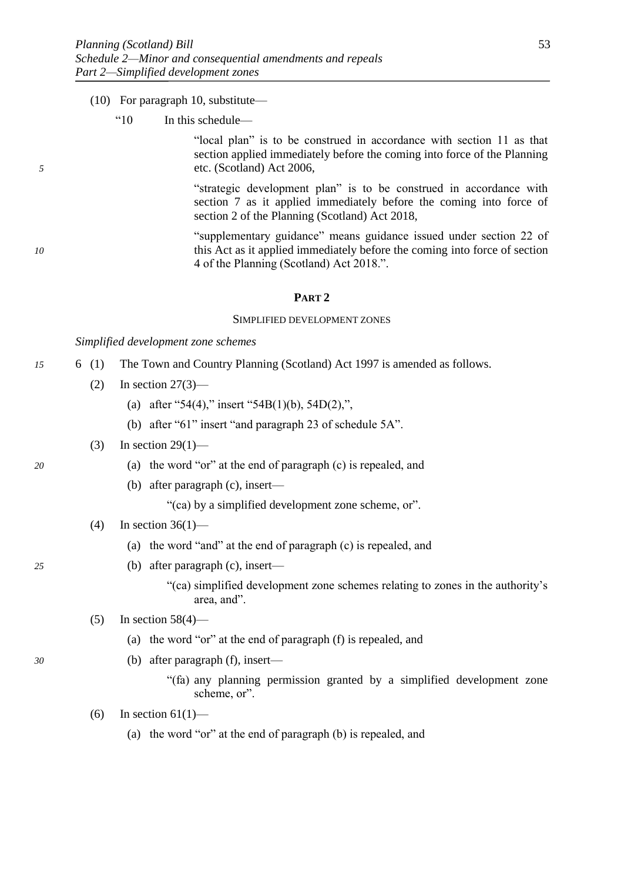#### (10) For paragraph 10, substitute—

"10 In this schedule—

"local plan" is to be construed in accordance with section 11 as that section applied immediately before the coming into force of the Planning *5* etc. (Scotland) Act 2006,

> "strategic development plan" is to be construed in accordance with section 7 as it applied immediately before the coming into force of section [2](#page-3-0) of the Planning (Scotland) Act 2018,

"supplementary guidance" means guidance issued under section 22 of *10* this Act as it applied immediately before the coming into force of section [4](#page-6-0) of the Planning (Scotland) Act 2018.".

## **PART 2**

#### SIMPLIFIED DEVELOPMENT ZONES

*Simplified development zone schemes*

- *15* 6 (1) The Town and Country Planning (Scotland) Act 1997 is amended as follows.
	- $(2)$  In section  $27(3)$ 
		- (a) after "54(4)," insert "54B(1)(b), 54D(2),",
		- (b) after "61" insert "and paragraph 23 of schedule 5A".

#### (3) In section  $29(1)$ —

- *20* (a) the word "or" at the end of paragraph (c) is repealed, and
	- (b) after paragraph (c), insert—

"(ca) by a simplified development zone scheme, or".

- (4) In section  $36(1)$ 
	- (a) the word "and" at the end of paragraph (c) is repealed, and
- *25* (b) after paragraph (c), insert—
	- "(ca) simplified development zone schemes relating to zones in the authority's area, and".
	- $(5)$  In section 58(4)—
		- (a) the word "or" at the end of paragraph (f) is repealed, and
- *30* (b) after paragraph (f), insert—
	- "(fa) any planning permission granted by a simplified development zone scheme, or".
	- (6) In section  $61(1)$ 
		- (a) the word "or" at the end of paragraph (b) is repealed, and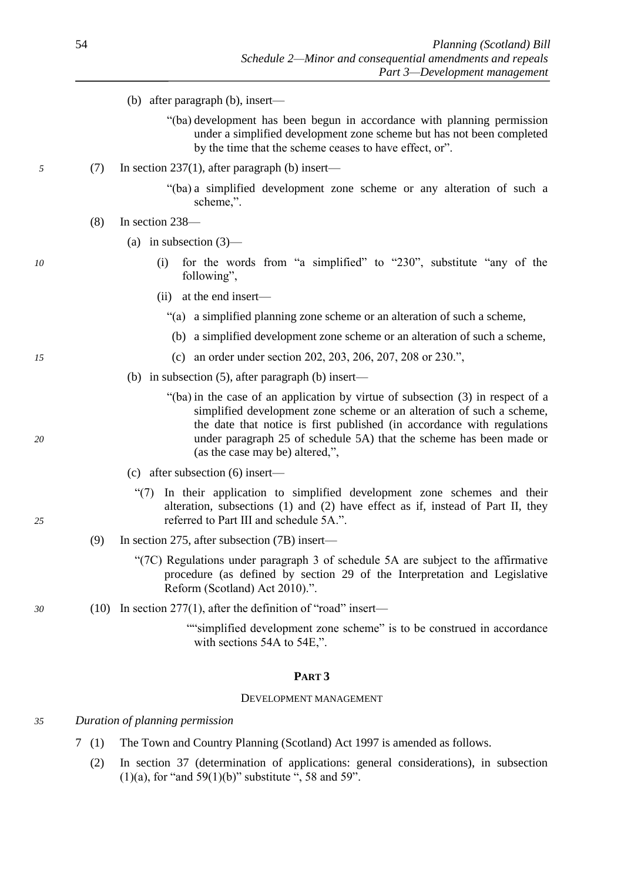- (b) after paragraph (b), insert—
	- "(ba) development has been begun in accordance with planning permission under a simplified development zone scheme but has not been completed by the time that the scheme ceases to have effect, or".
- *5* (7) In section 237(1), after paragraph (b) insert—
	- "(ba) a simplified development zone scheme or any alteration of such a scheme"
	- (8) In section 238—
		- (a) in subsection (3)—
- *10* (i) for the words from "a simplified" to "230", substitute "any of the following",
	- (ii) at the end insert—
		- "(a) a simplified planning zone scheme or an alteration of such a scheme,
		- (b) a simplified development zone scheme or an alteration of such a scheme,
- *15* (c) an order under section 202, 203, 206, 207, 208 or 230.",
	- (b) in subsection (5), after paragraph (b) insert—
- "(ba) in the case of an application by virtue of subsection (3) in respect of a simplified development zone scheme or an alteration of such a scheme, the date that notice is first published (in accordance with regulations *20* under paragraph 25 of schedule 5A) that the scheme has been made or (as the case may be) altered,",
	- (c) after subsection (6) insert—
- "(7) In their application to simplified development zone schemes and their alteration, subsections (1) and (2) have effect as if, instead of Part II, they *25* referred to Part III and schedule 5A.".
	- (9) In section 275, after subsection (7B) insert—
		- "(7C) Regulations under paragraph 3 of schedule 5A are subject to the affirmative procedure (as defined by section 29 of the Interpretation and Legislative Reform (Scotland) Act 2010).".
- *30* (10) In section 277(1), after the definition of "road" insert—

""simplified development zone scheme" is to be construed in accordance with sections 54A to 54E,".

#### **PART 3**

#### DEVELOPMENT MANAGEMENT

#### *35 Duration of planning permission*

- 7 (1) The Town and Country Planning (Scotland) Act 1997 is amended as follows.
	- (2) In section 37 (determination of applications: general considerations), in subsection  $(1)(a)$ , for "and 59 $(1)(b)$ " substitute ", 58 and 59".

- 
-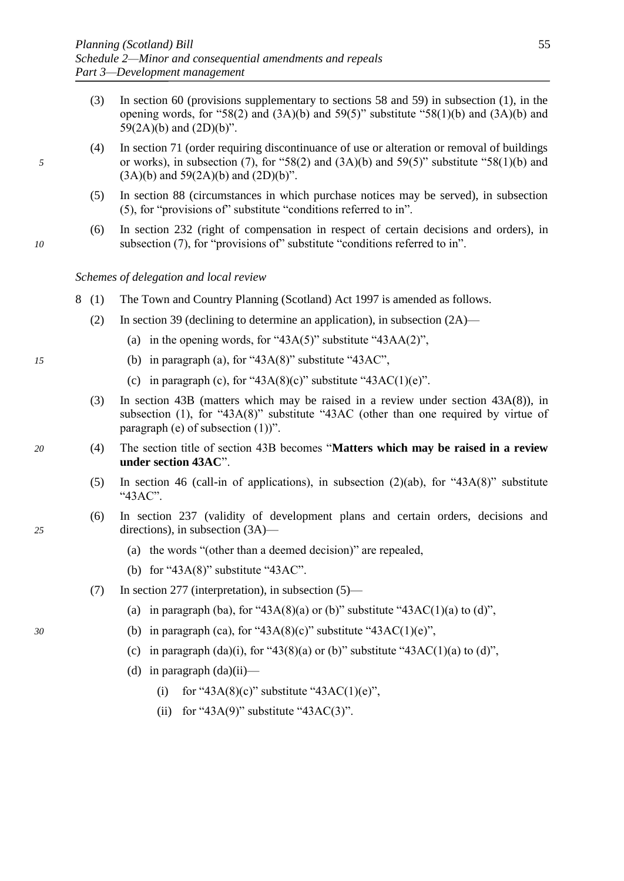- (3) In section 60 (provisions supplementary to sections 58 and 59) in subsection (1), in the opening words, for "58(2) and  $(3A)(b)$  and  $59(5)$ " substitute "58(1)(b) and  $(3A)(b)$  and  $59(2A)(b)$  and  $(2D)(b)$ ".
- (4) In section 71 (order requiring discontinuance of use or alteration or removal of buildings *5* or works), in subsection (7), for "58(2) and (3A)(b) and 59(5)" substitute "58(1)(b) and  $(3A)(b)$  and  $59(2A)(b)$  and  $(2D)(b)$ ".
	- (5) In section 88 (circumstances in which purchase notices may be served), in subsection (5), for "provisions of" substitute "conditions referred to in".
- (6) In section 232 (right of compensation in respect of certain decisions and orders), in *10* subsection (7), for "provisions of" substitute "conditions referred to in".

#### *Schemes of delegation and local review*

- 8 (1) The Town and Country Planning (Scotland) Act 1997 is amended as follows.
	- (2) In section 39 (declining to determine an application), in subsection  $(2A)$ 
		- (a) in the opening words, for "43A(5)" substitute "43AA(2)",
- *15* (b) in paragraph (a), for "43A(8)" substitute "43AC",
	- (c) in paragraph (c), for "43A(8)(c)" substitute "43AC(1)(e)".
	- (3) In section 43B (matters which may be raised in a review under section 43A(8)), in subsection (1), for " $43A(8)$ " substitute " $43AC$  (other than one required by virtue of paragraph (e) of subsection  $(1)$ )".
- *20* (4) The section title of section 43B becomes "**Matters which may be raised in a review under section 43AC**".
	- (5) In section 46 (call-in of applications), in subsection (2)(ab), for "43A(8)" substitute "43AC".
- (6) In section 237 (validity of development plans and certain orders, decisions and *25* directions), in subsection (3A)—
	- (a) the words "(other than a deemed decision)" are repealed,
	- (b) for " $43A(8)$ " substitute " $43AC$ ".
	- (7) In section 277 (interpretation), in subsection (5)—
		- (a) in paragraph (ba), for "43A(8)(a) or (b)" substitute "43AC(1)(a) to (d)",
- *30* (b) in paragraph (ca), for "43A(8)(c)" substitute "43AC(1)(e)",
	- (c) in paragraph  $(da)(i)$ , for "43(8)(a) or (b)" substitute "43AC(1)(a) to (d)",
	- (d) in paragraph  $(da)(ii)$ 
		- (i) for "43A(8)(c)" substitute "43AC(1)(e)",
		- (ii) for "43A(9)" substitute "43AC(3)".